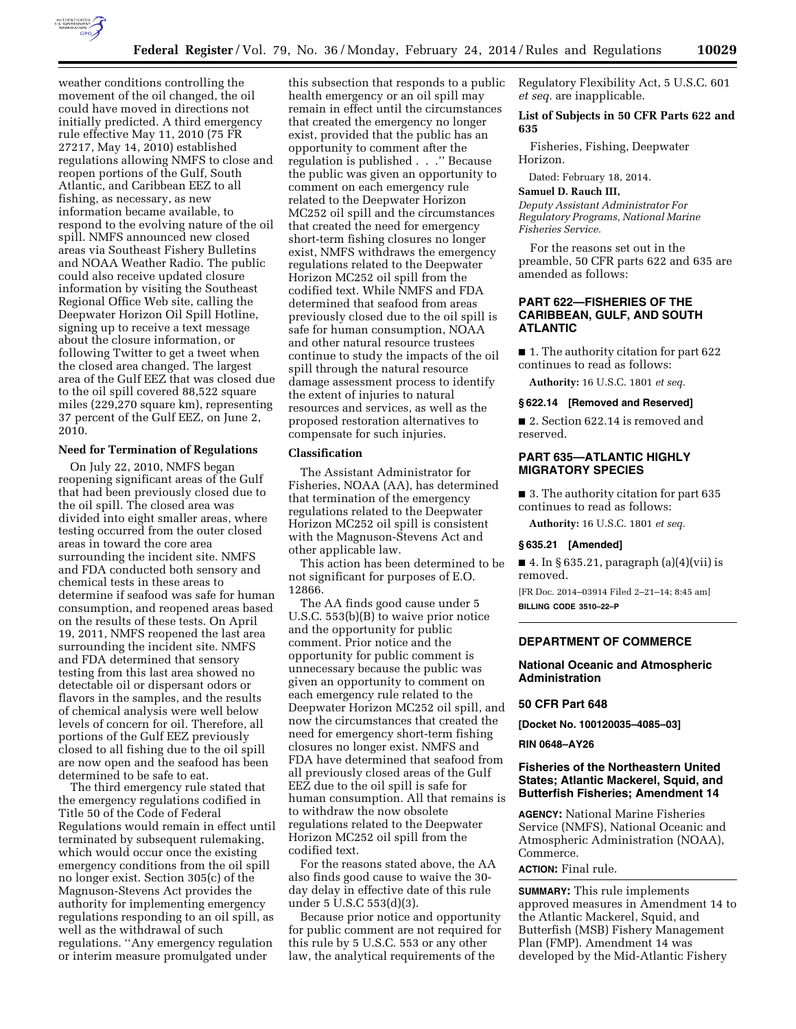

weather conditions controlling the movement of the oil changed, the oil could have moved in directions not initially predicted. A third emergency rule effective May 11, 2010 (75 FR 27217, May 14, 2010) established regulations allowing NMFS to close and reopen portions of the Gulf, South Atlantic, and Caribbean EEZ to all fishing, as necessary, as new information became available, to respond to the evolving nature of the oil spill. NMFS announced new closed areas via Southeast Fishery Bulletins and NOAA Weather Radio. The public could also receive updated closure information by visiting the Southeast Regional Office Web site, calling the Deepwater Horizon Oil Spill Hotline, signing up to receive a text message about the closure information, or following Twitter to get a tweet when the closed area changed. The largest area of the Gulf EEZ that was closed due to the oil spill covered 88,522 square miles (229,270 square km), representing 37 percent of the Gulf EEZ, on June 2, 2010.

### **Need for Termination of Regulations**

On July 22, 2010, NMFS began reopening significant areas of the Gulf that had been previously closed due to the oil spill. The closed area was divided into eight smaller areas, where testing occurred from the outer closed areas in toward the core area surrounding the incident site. NMFS and FDA conducted both sensory and chemical tests in these areas to determine if seafood was safe for human consumption, and reopened areas based on the results of these tests. On April 19, 2011, NMFS reopened the last area surrounding the incident site. NMFS and FDA determined that sensory testing from this last area showed no detectable oil or dispersant odors or flavors in the samples, and the results of chemical analysis were well below levels of concern for oil. Therefore, all portions of the Gulf EEZ previously closed to all fishing due to the oil spill are now open and the seafood has been determined to be safe to eat.

The third emergency rule stated that the emergency regulations codified in Title 50 of the Code of Federal Regulations would remain in effect until terminated by subsequent rulemaking, which would occur once the existing emergency conditions from the oil spill no longer exist. Section 305(c) of the Magnuson-Stevens Act provides the authority for implementing emergency regulations responding to an oil spill, as well as the withdrawal of such regulations. ''Any emergency regulation or interim measure promulgated under

this subsection that responds to a public health emergency or an oil spill may remain in effect until the circumstances that created the emergency no longer exist, provided that the public has an opportunity to comment after the regulation is published . . .'' Because the public was given an opportunity to comment on each emergency rule related to the Deepwater Horizon MC252 oil spill and the circumstances that created the need for emergency short-term fishing closures no longer exist, NMFS withdraws the emergency regulations related to the Deepwater Horizon MC252 oil spill from the codified text. While NMFS and FDA determined that seafood from areas previously closed due to the oil spill is safe for human consumption, NOAA and other natural resource trustees continue to study the impacts of the oil spill through the natural resource damage assessment process to identify the extent of injuries to natural resources and services, as well as the proposed restoration alternatives to compensate for such injuries.

#### **Classification**

The Assistant Administrator for Fisheries, NOAA (AA), has determined that termination of the emergency regulations related to the Deepwater Horizon MC252 oil spill is consistent with the Magnuson-Stevens Act and other applicable law.

This action has been determined to be not significant for purposes of E.O. 12866.

The AA finds good cause under 5 U.S.C. 553(b)(B) to waive prior notice and the opportunity for public comment. Prior notice and the opportunity for public comment is unnecessary because the public was given an opportunity to comment on each emergency rule related to the Deepwater Horizon MC252 oil spill, and now the circumstances that created the need for emergency short-term fishing closures no longer exist. NMFS and FDA have determined that seafood from all previously closed areas of the Gulf EEZ due to the oil spill is safe for human consumption. All that remains is to withdraw the now obsolete regulations related to the Deepwater Horizon MC252 oil spill from the codified text.

For the reasons stated above, the AA also finds good cause to waive the 30 day delay in effective date of this rule under 5 U.S.C 553(d)(3).

Because prior notice and opportunity for public comment are not required for this rule by 5 U.S.C. 553 or any other law, the analytical requirements of the

Regulatory Flexibility Act, 5 U.S.C. 601 *et seq.* are inapplicable.

### **List of Subjects in 50 CFR Parts 622 and 635**

Fisheries, Fishing, Deepwater Horizon.

Dated: February 18, 2014.

# **Samuel D. Rauch III,**

*Deputy Assistant Administrator For Regulatory Programs, National Marine Fisheries Service.* 

For the reasons set out in the preamble, 50 CFR parts 622 and 635 are amended as follows:

## **PART 622—FISHERIES OF THE CARIBBEAN, GULF, AND SOUTH ATLANTIC**

■ 1. The authority citation for part 622 continues to read as follows:

**Authority:** 16 U.S.C. 1801 *et seq.* 

#### **§ 622.14 [Removed and Reserved]**

■ 2. Section 622.14 is removed and reserved.

# **PART 635—ATLANTIC HIGHLY MIGRATORY SPECIES**

■ 3. The authority citation for part 635 continues to read as follows:

**Authority:** 16 U.S.C. 1801 *et seq.* 

#### **§ 635.21 [Amended]**

 $\blacksquare$  4. In § 635.21, paragraph (a)(4)(vii) is removed.

[FR Doc. 2014–03914 Filed 2–21–14; 8:45 am] **BILLING CODE 3510–22–P** 

# **DEPARTMENT OF COMMERCE**

### **National Oceanic and Atmospheric Administration**

#### **50 CFR Part 648**

**[Docket No. 100120035–4085–03]** 

#### **RIN 0648–AY26**

### **Fisheries of the Northeastern United States; Atlantic Mackerel, Squid, and Butterfish Fisheries; Amendment 14**

**AGENCY:** National Marine Fisheries Service (NMFS), National Oceanic and Atmospheric Administration (NOAA), Commerce.

#### **ACTION:** Final rule.

**SUMMARY:** This rule implements approved measures in Amendment 14 to the Atlantic Mackerel, Squid, and Butterfish (MSB) Fishery Management Plan (FMP). Amendment 14 was developed by the Mid-Atlantic Fishery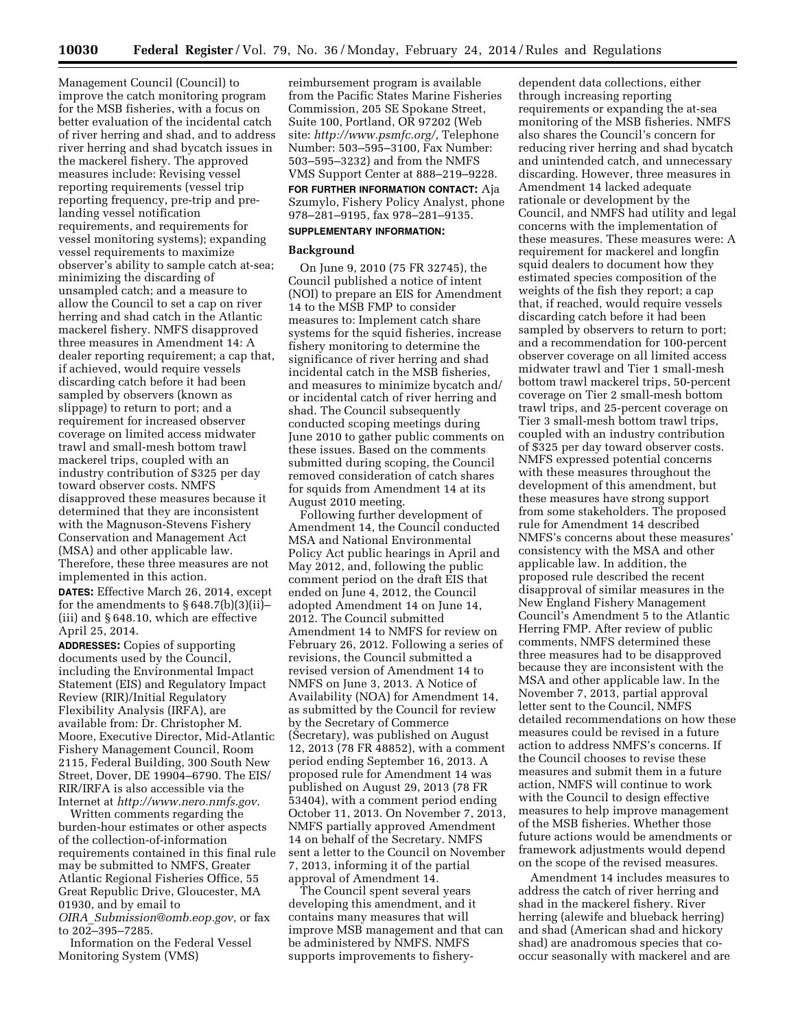Management Council (Council) to improve the catch monitoring program for the MSB fisheries, with a focus on better evaluation of the incidental catch of river herring and shad, and to address river herring and shad bycatch issues in the mackerel fishery. The approved measures include: Revising vessel reporting requirements (vessel trip reporting frequency, pre-trip and prelanding vessel notification requirements, and requirements for vessel monitoring systems); expanding vessel requirements to maximize observer's ability to sample catch at-sea; minimizing the discarding of unsampled catch; and a measure to allow the Council to set a cap on river herring and shad catch in the Atlantic mackerel fishery. NMFS disapproved three measures in Amendment 14: A dealer reporting requirement; a cap that, if achieved, would require vessels discarding catch before it had been sampled by observers (known as slippage) to return to port; and a requirement for increased observer coverage on limited access midwater trawl and small-mesh bottom trawl mackerel trips, coupled with an industry contribution of \$325 per day toward observer costs. NMFS disapproved these measures because it determined that they are inconsistent with the Magnuson-Stevens Fishery Conservation and Management Act (MSA) and other applicable law. Therefore, these three measures are not implemented in this action.

**DATES:** Effective March 26, 2014, except for the amendments to § 648.7(b)(3)(ii)– (iii) and § 648.10, which are effective April 25, 2014.

**ADDRESSES:** Copies of supporting documents used by the Council, including the Environmental Impact Statement (EIS) and Regulatory Impact Review (RIR)/Initial Regulatory Flexibility Analysis (IRFA), are available from: Dr. Christopher M. Moore, Executive Director, Mid-Atlantic Fishery Management Council, Room 2115, Federal Building, 300 South New Street, Dover, DE 19904–6790. The EIS/ RIR/IRFA is also accessible via the Internet at *<http://www.nero.nmfs.gov>*.

Written comments regarding the burden-hour estimates or other aspects of the collection-of-information requirements contained in this final rule may be submitted to NMFS, Greater Atlantic Regional Fisheries Office, 55 Great Republic Drive, Gloucester, MA 01930, and by email to *OIRA*\_*[Submission@omb.eop.gov,](mailto:OIRA_Submission@omb.eop.gov)* or fax to 202–395–7285.

Information on the Federal Vessel Monitoring System (VMS)

reimbursement program is available from the Pacific States Marine Fisheries Commission, 205 SE Spokane Street, Suite 100, Portland, OR 97202 (Web site: *[http://www.psmfc.org/,](http://www.psmfc.org/)* Telephone Number: 503–595–3100, Fax Number: 503–595–3232) and from the NMFS VMS Support Center at 888–219–9228.

# **FOR FURTHER INFORMATION CONTACT:** Aja

Szumylo, Fishery Policy Analyst, phone 978–281–9195, fax 978–281–9135.

# **SUPPLEMENTARY INFORMATION:**

# **Background**

On June 9, 2010 (75 FR 32745), the Council published a notice of intent (NOI) to prepare an EIS for Amendment 14 to the MSB FMP to consider measures to: Implement catch share systems for the squid fisheries, increase fishery monitoring to determine the significance of river herring and shad incidental catch in the MSB fisheries, and measures to minimize bycatch and/ or incidental catch of river herring and shad. The Council subsequently conducted scoping meetings during June 2010 to gather public comments on these issues. Based on the comments submitted during scoping, the Council removed consideration of catch shares for squids from Amendment 14 at its August 2010 meeting.

Following further development of Amendment 14, the Council conducted MSA and National Environmental Policy Act public hearings in April and May 2012, and, following the public comment period on the draft EIS that ended on June 4, 2012, the Council adopted Amendment 14 on June 14, 2012. The Council submitted Amendment 14 to NMFS for review on February 26, 2012. Following a series of revisions, the Council submitted a revised version of Amendment 14 to NMFS on June 3, 2013. A Notice of Availability (NOA) for Amendment 14, as submitted by the Council for review by the Secretary of Commerce (Secretary), was published on August 12, 2013 (78 FR 48852), with a comment period ending September 16, 2013. A proposed rule for Amendment 14 was published on August 29, 2013 (78 FR 53404), with a comment period ending October 11, 2013. On November 7, 2013, NMFS partially approved Amendment 14 on behalf of the Secretary. NMFS sent a letter to the Council on November 7, 2013, informing it of the partial approval of Amendment 14.

The Council spent several years developing this amendment, and it contains many measures that will improve MSB management and that can be administered by NMFS. NMFS supports improvements to fishery-

dependent data collections, either through increasing reporting requirements or expanding the at-sea monitoring of the MSB fisheries. NMFS also shares the Council's concern for reducing river herring and shad bycatch and unintended catch, and unnecessary discarding. However, three measures in Amendment 14 lacked adequate rationale or development by the Council, and NMFS had utility and legal concerns with the implementation of these measures. These measures were: A requirement for mackerel and longfin squid dealers to document how they estimated species composition of the weights of the fish they report; a cap that, if reached, would require vessels discarding catch before it had been sampled by observers to return to port; and a recommendation for 100-percent observer coverage on all limited access midwater trawl and Tier 1 small-mesh bottom trawl mackerel trips, 50-percent coverage on Tier 2 small-mesh bottom trawl trips, and 25-percent coverage on Tier 3 small-mesh bottom trawl trips, coupled with an industry contribution of \$325 per day toward observer costs. NMFS expressed potential concerns with these measures throughout the development of this amendment, but these measures have strong support from some stakeholders. The proposed rule for Amendment 14 described NMFS's concerns about these measures' consistency with the MSA and other applicable law. In addition, the proposed rule described the recent disapproval of similar measures in the New England Fishery Management Council's Amendment 5 to the Atlantic Herring FMP. After review of public comments, NMFS determined these three measures had to be disapproved because they are inconsistent with the MSA and other applicable law. In the November 7, 2013, partial approval letter sent to the Council, NMFS detailed recommendations on how these measures could be revised in a future action to address NMFS's concerns. If the Council chooses to revise these measures and submit them in a future action, NMFS will continue to work with the Council to design effective measures to help improve management of the MSB fisheries. Whether those future actions would be amendments or framework adjustments would depend on the scope of the revised measures.

Amendment 14 includes measures to address the catch of river herring and shad in the mackerel fishery. River herring (alewife and blueback herring) and shad (American shad and hickory shad) are anadromous species that cooccur seasonally with mackerel and are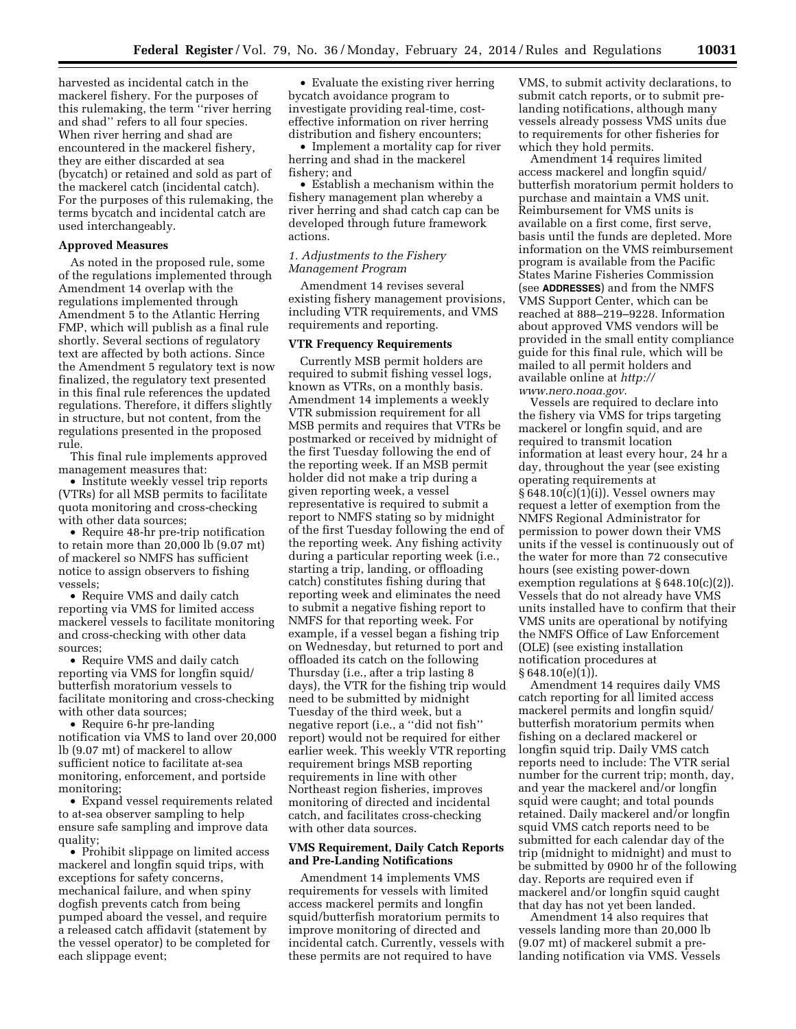harvested as incidental catch in the mackerel fishery. For the purposes of this rulemaking, the term ''river herring and shad'' refers to all four species. When river herring and shad are encountered in the mackerel fishery, they are either discarded at sea (bycatch) or retained and sold as part of the mackerel catch (incidental catch). For the purposes of this rulemaking, the terms bycatch and incidental catch are used interchangeably.

#### **Approved Measures**

As noted in the proposed rule, some of the regulations implemented through Amendment 14 overlap with the regulations implemented through Amendment 5 to the Atlantic Herring FMP, which will publish as a final rule shortly. Several sections of regulatory text are affected by both actions. Since the Amendment 5 regulatory text is now finalized, the regulatory text presented in this final rule references the updated regulations. Therefore, it differs slightly in structure, but not content, from the regulations presented in the proposed rule.

This final rule implements approved management measures that:

• Institute weekly vessel trip reports (VTRs) for all MSB permits to facilitate quota monitoring and cross-checking with other data sources;

• Require 48-hr pre-trip notification to retain more than 20,000 lb (9.07 mt) of mackerel so NMFS has sufficient notice to assign observers to fishing vessels;

• Require VMS and daily catch reporting via VMS for limited access mackerel vessels to facilitate monitoring and cross-checking with other data sources;

• Require VMS and daily catch reporting via VMS for longfin squid/ butterfish moratorium vessels to facilitate monitoring and cross-checking with other data sources;

• Require 6-hr pre-landing notification via VMS to land over 20,000 lb (9.07 mt) of mackerel to allow sufficient notice to facilitate at-sea monitoring, enforcement, and portside monitoring;

• Expand vessel requirements related to at-sea observer sampling to help ensure safe sampling and improve data quality;

• Prohibit slippage on limited access mackerel and longfin squid trips, with exceptions for safety concerns, mechanical failure, and when spiny dogfish prevents catch from being pumped aboard the vessel, and require a released catch affidavit (statement by the vessel operator) to be completed for each slippage event;

• Evaluate the existing river herring bycatch avoidance program to investigate providing real-time, costeffective information on river herring distribution and fishery encounters;

• Implement a mortality cap for river herring and shad in the mackerel fishery; and

• Establish a mechanism within the fishery management plan whereby a river herring and shad catch cap can be developed through future framework actions.

## *1. Adjustments to the Fishery Management Program*

Amendment 14 revises several existing fishery management provisions, including VTR requirements, and VMS requirements and reporting.

#### **VTR Frequency Requirements**

Currently MSB permit holders are required to submit fishing vessel logs, known as VTRs, on a monthly basis. Amendment 14 implements a weekly VTR submission requirement for all MSB permits and requires that VTRs be postmarked or received by midnight of the first Tuesday following the end of the reporting week. If an MSB permit holder did not make a trip during a given reporting week, a vessel representative is required to submit a report to NMFS stating so by midnight of the first Tuesday following the end of the reporting week. Any fishing activity during a particular reporting week (i.e., starting a trip, landing, or offloading catch) constitutes fishing during that reporting week and eliminates the need to submit a negative fishing report to NMFS for that reporting week. For example, if a vessel began a fishing trip on Wednesday, but returned to port and offloaded its catch on the following Thursday (i.e., after a trip lasting 8 days), the VTR for the fishing trip would need to be submitted by midnight Tuesday of the third week, but a negative report (i.e., a ''did not fish'' report) would not be required for either earlier week. This weekly VTR reporting requirement brings MSB reporting requirements in line with other Northeast region fisheries, improves monitoring of directed and incidental catch, and facilitates cross-checking with other data sources.

## **VMS Requirement, Daily Catch Reports and Pre-Landing Notifications**

Amendment 14 implements VMS requirements for vessels with limited access mackerel permits and longfin squid/butterfish moratorium permits to improve monitoring of directed and incidental catch. Currently, vessels with these permits are not required to have

VMS, to submit activity declarations, to submit catch reports, or to submit prelanding notifications, although many vessels already possess VMS units due to requirements for other fisheries for which they hold permits.

Amendment 14 requires limited access mackerel and longfin squid/ butterfish moratorium permit holders to purchase and maintain a VMS unit. Reimbursement for VMS units is available on a first come, first serve, basis until the funds are depleted. More information on the VMS reimbursement program is available from the Pacific States Marine Fisheries Commission (see **ADDRESSES**) and from the NMFS VMS Support Center, which can be reached at 888–219–9228. Information about approved VMS vendors will be provided in the small entity compliance guide for this final rule, which will be mailed to all permit holders and available online at *[http://](http://www.nero.noaa.gov) [www.nero.noaa.gov](http://www.nero.noaa.gov)*.

Vessels are required to declare into the fishery via VMS for trips targeting mackerel or longfin squid, and are required to transmit location information at least every hour, 24 hr a day, throughout the year (see existing operating requirements at § 648.10(c)(1)(i)). Vessel owners may request a letter of exemption from the NMFS Regional Administrator for permission to power down their VMS units if the vessel is continuously out of the water for more than 72 consecutive hours (see existing power-down exemption regulations at § 648.10(c)(2)). Vessels that do not already have VMS units installed have to confirm that their VMS units are operational by notifying the NMFS Office of Law Enforcement (OLE) (see existing installation notification procedures at  $§ 648.10(e)(1)$ .

Amendment 14 requires daily VMS catch reporting for all limited access mackerel permits and longfin squid/ butterfish moratorium permits when fishing on a declared mackerel or longfin squid trip. Daily VMS catch reports need to include: The VTR serial number for the current trip; month, day, and year the mackerel and/or longfin squid were caught; and total pounds retained. Daily mackerel and/or longfin squid VMS catch reports need to be submitted for each calendar day of the trip (midnight to midnight) and must to be submitted by 0900 hr of the following day. Reports are required even if mackerel and/or longfin squid caught that day has not yet been landed.

Amendment 14 also requires that vessels landing more than 20,000 lb (9.07 mt) of mackerel submit a prelanding notification via VMS. Vessels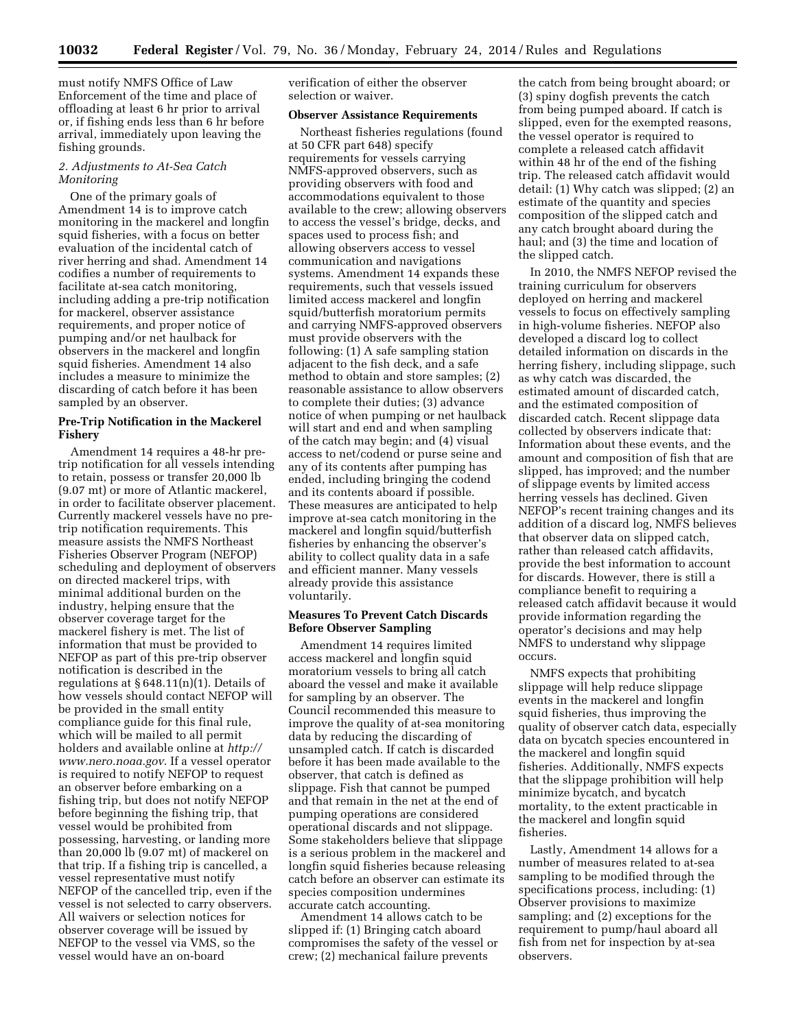must notify NMFS Office of Law Enforcement of the time and place of offloading at least 6 hr prior to arrival or, if fishing ends less than 6 hr before arrival, immediately upon leaving the fishing grounds.

### *2. Adjustments to At-Sea Catch Monitoring*

One of the primary goals of Amendment 14 is to improve catch monitoring in the mackerel and longfin squid fisheries, with a focus on better evaluation of the incidental catch of river herring and shad. Amendment 14 codifies a number of requirements to facilitate at-sea catch monitoring, including adding a pre-trip notification for mackerel, observer assistance requirements, and proper notice of pumping and/or net haulback for observers in the mackerel and longfin squid fisheries. Amendment 14 also includes a measure to minimize the discarding of catch before it has been sampled by an observer.

### **Pre-Trip Notification in the Mackerel Fishery**

Amendment 14 requires a 48-hr pretrip notification for all vessels intending to retain, possess or transfer 20,000 lb (9.07 mt) or more of Atlantic mackerel, in order to facilitate observer placement. Currently mackerel vessels have no pretrip notification requirements. This measure assists the NMFS Northeast Fisheries Observer Program (NEFOP) scheduling and deployment of observers on directed mackerel trips, with minimal additional burden on the industry, helping ensure that the observer coverage target for the mackerel fishery is met. The list of information that must be provided to NEFOP as part of this pre-trip observer notification is described in the regulations at  $§ 648.11(n)(1)$ . Details of how vessels should contact NEFOP will be provided in the small entity compliance guide for this final rule, which will be mailed to all permit holders and available online at *[http://](http://www.nero.noaa.gov) [www.nero.noaa.gov](http://www.nero.noaa.gov)*. If a vessel operator is required to notify NEFOP to request an observer before embarking on a fishing trip, but does not notify NEFOP before beginning the fishing trip, that vessel would be prohibited from possessing, harvesting, or landing more than 20,000 lb (9.07 mt) of mackerel on that trip. If a fishing trip is cancelled, a vessel representative must notify NEFOP of the cancelled trip, even if the vessel is not selected to carry observers. All waivers or selection notices for observer coverage will be issued by NEFOP to the vessel via VMS, so the vessel would have an on-board

verification of either the observer selection or waiver.

#### **Observer Assistance Requirements**

Northeast fisheries regulations (found at 50 CFR part 648) specify requirements for vessels carrying NMFS-approved observers, such as providing observers with food and accommodations equivalent to those available to the crew; allowing observers to access the vessel's bridge, decks, and spaces used to process fish; and allowing observers access to vessel communication and navigations systems. Amendment 14 expands these requirements, such that vessels issued limited access mackerel and longfin squid/butterfish moratorium permits and carrying NMFS-approved observers must provide observers with the following: (1) A safe sampling station adjacent to the fish deck, and a safe method to obtain and store samples; (2) reasonable assistance to allow observers to complete their duties; (3) advance notice of when pumping or net haulback will start and end and when sampling of the catch may begin; and (4) visual access to net/codend or purse seine and any of its contents after pumping has ended, including bringing the codend and its contents aboard if possible. These measures are anticipated to help improve at-sea catch monitoring in the mackerel and longfin squid/butterfish fisheries by enhancing the observer's ability to collect quality data in a safe and efficient manner. Many vessels already provide this assistance voluntarily.

# **Measures To Prevent Catch Discards Before Observer Sampling**

Amendment 14 requires limited access mackerel and longfin squid moratorium vessels to bring all catch aboard the vessel and make it available for sampling by an observer. The Council recommended this measure to improve the quality of at-sea monitoring data by reducing the discarding of unsampled catch. If catch is discarded before it has been made available to the observer, that catch is defined as slippage. Fish that cannot be pumped and that remain in the net at the end of pumping operations are considered operational discards and not slippage. Some stakeholders believe that slippage is a serious problem in the mackerel and longfin squid fisheries because releasing catch before an observer can estimate its species composition undermines accurate catch accounting.

Amendment 14 allows catch to be slipped if: (1) Bringing catch aboard compromises the safety of the vessel or crew; (2) mechanical failure prevents

the catch from being brought aboard; or (3) spiny dogfish prevents the catch from being pumped aboard. If catch is slipped, even for the exempted reasons, the vessel operator is required to complete a released catch affidavit within 48 hr of the end of the fishing trip. The released catch affidavit would detail: (1) Why catch was slipped; (2) an estimate of the quantity and species composition of the slipped catch and any catch brought aboard during the haul; and (3) the time and location of the slipped catch.

In 2010, the NMFS NEFOP revised the training curriculum for observers deployed on herring and mackerel vessels to focus on effectively sampling in high-volume fisheries. NEFOP also developed a discard log to collect detailed information on discards in the herring fishery, including slippage, such as why catch was discarded, the estimated amount of discarded catch, and the estimated composition of discarded catch. Recent slippage data collected by observers indicate that: Information about these events, and the amount and composition of fish that are slipped, has improved; and the number of slippage events by limited access herring vessels has declined. Given NEFOP's recent training changes and its addition of a discard log, NMFS believes that observer data on slipped catch, rather than released catch affidavits, provide the best information to account for discards. However, there is still a compliance benefit to requiring a released catch affidavit because it would provide information regarding the operator's decisions and may help NMFS to understand why slippage occurs.

NMFS expects that prohibiting slippage will help reduce slippage events in the mackerel and longfin squid fisheries, thus improving the quality of observer catch data, especially data on bycatch species encountered in the mackerel and longfin squid fisheries. Additionally, NMFS expects that the slippage prohibition will help minimize bycatch, and bycatch mortality, to the extent practicable in the mackerel and longfin squid fisheries.

Lastly, Amendment 14 allows for a number of measures related to at-sea sampling to be modified through the specifications process, including: (1) Observer provisions to maximize sampling; and (2) exceptions for the requirement to pump/haul aboard all fish from net for inspection by at-sea observers.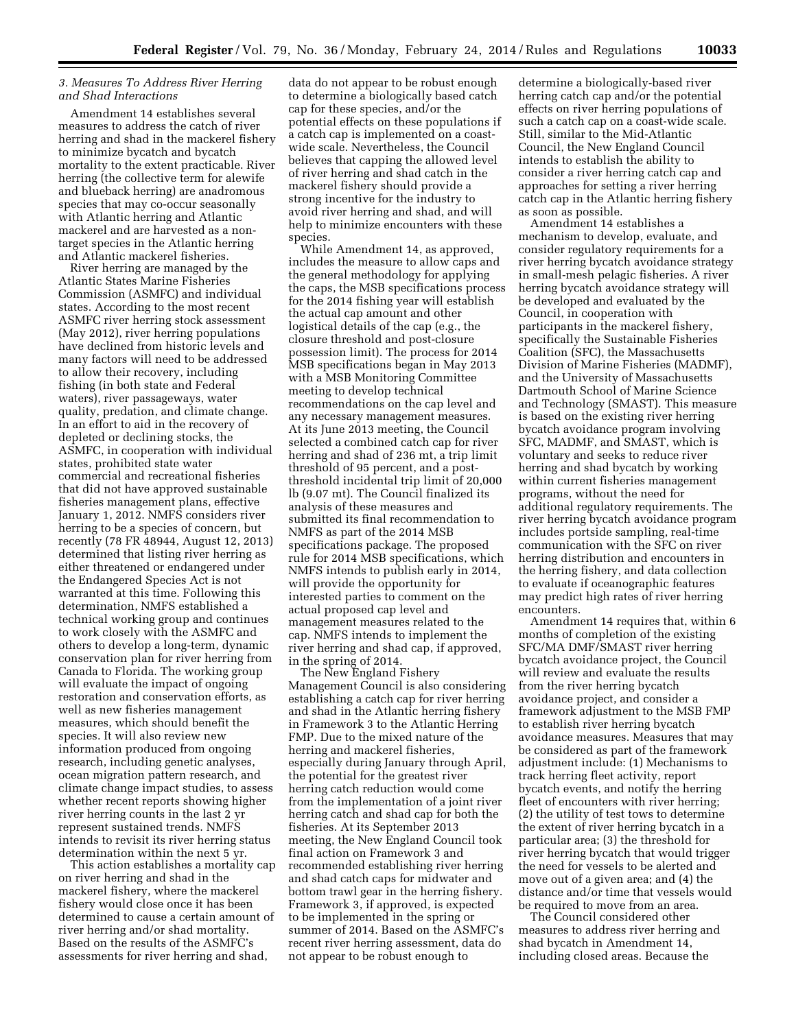## *3. Measures To Address River Herring and Shad Interactions*

Amendment 14 establishes several measures to address the catch of river herring and shad in the mackerel fishery to minimize bycatch and bycatch mortality to the extent practicable. River herring (the collective term for alewife and blueback herring) are anadromous species that may co-occur seasonally with Atlantic herring and Atlantic mackerel and are harvested as a nontarget species in the Atlantic herring and Atlantic mackerel fisheries.

River herring are managed by the Atlantic States Marine Fisheries Commission (ASMFC) and individual states. According to the most recent ASMFC river herring stock assessment (May 2012), river herring populations have declined from historic levels and many factors will need to be addressed to allow their recovery, including fishing (in both state and Federal waters), river passageways, water quality, predation, and climate change. In an effort to aid in the recovery of depleted or declining stocks, the ASMFC, in cooperation with individual states, prohibited state water commercial and recreational fisheries that did not have approved sustainable fisheries management plans, effective January 1, 2012. NMFS considers river herring to be a species of concern, but recently (78 FR 48944, August 12, 2013) determined that listing river herring as either threatened or endangered under the Endangered Species Act is not warranted at this time. Following this determination, NMFS established a technical working group and continues to work closely with the ASMFC and others to develop a long-term, dynamic conservation plan for river herring from Canada to Florida. The working group will evaluate the impact of ongoing restoration and conservation efforts, as well as new fisheries management measures, which should benefit the species. It will also review new information produced from ongoing research, including genetic analyses, ocean migration pattern research, and climate change impact studies, to assess whether recent reports showing higher river herring counts in the last 2 yr represent sustained trends. NMFS intends to revisit its river herring status determination within the next 5 yr.

This action establishes a mortality cap on river herring and shad in the mackerel fishery, where the mackerel fishery would close once it has been determined to cause a certain amount of river herring and/or shad mortality. Based on the results of the ASMFC's assessments for river herring and shad,

data do not appear to be robust enough to determine a biologically based catch cap for these species, and/or the potential effects on these populations if a catch cap is implemented on a coastwide scale. Nevertheless, the Council believes that capping the allowed level of river herring and shad catch in the mackerel fishery should provide a strong incentive for the industry to avoid river herring and shad, and will help to minimize encounters with these species.

While Amendment 14, as approved, includes the measure to allow caps and the general methodology for applying the caps, the MSB specifications process for the 2014 fishing year will establish the actual cap amount and other logistical details of the cap (e.g., the closure threshold and post-closure possession limit). The process for 2014 MSB specifications began in May 2013 with a MSB Monitoring Committee meeting to develop technical recommendations on the cap level and any necessary management measures. At its June 2013 meeting, the Council selected a combined catch cap for river herring and shad of 236 mt, a trip limit threshold of 95 percent, and a postthreshold incidental trip limit of 20,000 lb (9.07 mt). The Council finalized its analysis of these measures and submitted its final recommendation to NMFS as part of the 2014 MSB specifications package. The proposed rule for 2014 MSB specifications, which NMFS intends to publish early in 2014, will provide the opportunity for interested parties to comment on the actual proposed cap level and management measures related to the cap. NMFS intends to implement the river herring and shad cap, if approved, in the spring of 2014.

The New England Fishery Management Council is also considering establishing a catch cap for river herring and shad in the Atlantic herring fishery in Framework 3 to the Atlantic Herring FMP. Due to the mixed nature of the herring and mackerel fisheries, especially during January through April, the potential for the greatest river herring catch reduction would come from the implementation of a joint river herring catch and shad cap for both the fisheries. At its September 2013 meeting, the New England Council took final action on Framework 3 and recommended establishing river herring and shad catch caps for midwater and bottom trawl gear in the herring fishery. Framework 3, if approved, is expected to be implemented in the spring or summer of 2014. Based on the ASMFC's recent river herring assessment, data do not appear to be robust enough to

determine a biologically-based river herring catch cap and/or the potential effects on river herring populations of such a catch cap on a coast-wide scale. Still, similar to the Mid-Atlantic Council, the New England Council intends to establish the ability to consider a river herring catch cap and approaches for setting a river herring catch cap in the Atlantic herring fishery as soon as possible.

Amendment 14 establishes a mechanism to develop, evaluate, and consider regulatory requirements for a river herring bycatch avoidance strategy in small-mesh pelagic fisheries. A river herring bycatch avoidance strategy will be developed and evaluated by the Council, in cooperation with participants in the mackerel fishery, specifically the Sustainable Fisheries Coalition (SFC), the Massachusetts Division of Marine Fisheries (MADMF), and the University of Massachusetts Dartmouth School of Marine Science and Technology (SMAST). This measure is based on the existing river herring bycatch avoidance program involving SFC, MADMF, and SMAST, which is voluntary and seeks to reduce river herring and shad bycatch by working within current fisheries management programs, without the need for additional regulatory requirements. The river herring bycatch avoidance program includes portside sampling, real-time communication with the SFC on river herring distribution and encounters in the herring fishery, and data collection to evaluate if oceanographic features may predict high rates of river herring encounters.

Amendment 14 requires that, within 6 months of completion of the existing SFC/MA DMF/SMAST river herring bycatch avoidance project, the Council will review and evaluate the results from the river herring bycatch avoidance project, and consider a framework adjustment to the MSB FMP to establish river herring bycatch avoidance measures. Measures that may be considered as part of the framework adjustment include: (1) Mechanisms to track herring fleet activity, report bycatch events, and notify the herring fleet of encounters with river herring; (2) the utility of test tows to determine the extent of river herring bycatch in a particular area; (3) the threshold for river herring bycatch that would trigger the need for vessels to be alerted and move out of a given area; and (4) the distance and/or time that vessels would be required to move from an area.

The Council considered other measures to address river herring and shad bycatch in Amendment 14, including closed areas. Because the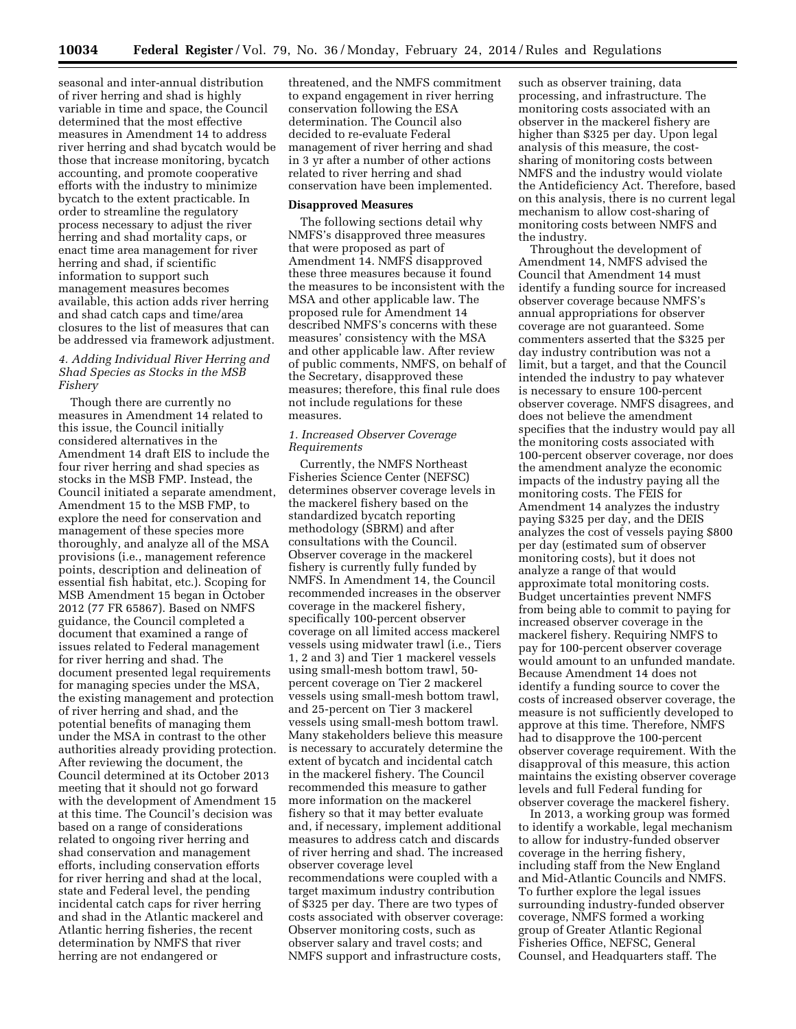seasonal and inter-annual distribution of river herring and shad is highly variable in time and space, the Council determined that the most effective measures in Amendment 14 to address river herring and shad bycatch would be those that increase monitoring, bycatch accounting, and promote cooperative efforts with the industry to minimize bycatch to the extent practicable. In order to streamline the regulatory process necessary to adjust the river herring and shad mortality caps, or enact time area management for river herring and shad, if scientific information to support such management measures becomes available, this action adds river herring and shad catch caps and time/area closures to the list of measures that can be addressed via framework adjustment.

# *4. Adding Individual River Herring and Shad Species as Stocks in the MSB Fishery*

Though there are currently no measures in Amendment 14 related to this issue, the Council initially considered alternatives in the Amendment 14 draft EIS to include the four river herring and shad species as stocks in the MSB FMP. Instead, the Council initiated a separate amendment, Amendment 15 to the MSB FMP, to explore the need for conservation and management of these species more thoroughly, and analyze all of the MSA provisions (i.e., management reference points, description and delineation of essential fish habitat, etc.). Scoping for MSB Amendment 15 began in October 2012 (77 FR 65867). Based on NMFS guidance, the Council completed a document that examined a range of issues related to Federal management for river herring and shad. The document presented legal requirements for managing species under the MSA, the existing management and protection of river herring and shad, and the potential benefits of managing them under the MSA in contrast to the other authorities already providing protection. After reviewing the document, the Council determined at its October 2013 meeting that it should not go forward with the development of Amendment 15 at this time. The Council's decision was based on a range of considerations related to ongoing river herring and shad conservation and management efforts, including conservation efforts for river herring and shad at the local, state and Federal level, the pending incidental catch caps for river herring and shad in the Atlantic mackerel and Atlantic herring fisheries, the recent determination by NMFS that river herring are not endangered or

threatened, and the NMFS commitment to expand engagement in river herring conservation following the ESA determination. The Council also decided to re-evaluate Federal management of river herring and shad in 3 yr after a number of other actions related to river herring and shad conservation have been implemented.

#### **Disapproved Measures**

The following sections detail why NMFS's disapproved three measures that were proposed as part of Amendment 14. NMFS disapproved these three measures because it found the measures to be inconsistent with the MSA and other applicable law. The proposed rule for Amendment 14 described NMFS's concerns with these measures' consistency with the MSA and other applicable law. After review of public comments, NMFS, on behalf of the Secretary, disapproved these measures; therefore, this final rule does not include regulations for these measures.

### *1. Increased Observer Coverage Requirements*

Currently, the NMFS Northeast Fisheries Science Center (NEFSC) determines observer coverage levels in the mackerel fishery based on the standardized bycatch reporting methodology (SBRM) and after consultations with the Council. Observer coverage in the mackerel fishery is currently fully funded by NMFS. In Amendment 14, the Council recommended increases in the observer coverage in the mackerel fishery, specifically 100-percent observer coverage on all limited access mackerel vessels using midwater trawl (i.e., Tiers 1, 2 and 3) and Tier 1 mackerel vessels using small-mesh bottom trawl, 50 percent coverage on Tier 2 mackerel vessels using small-mesh bottom trawl, and 25-percent on Tier 3 mackerel vessels using small-mesh bottom trawl. Many stakeholders believe this measure is necessary to accurately determine the extent of bycatch and incidental catch in the mackerel fishery. The Council recommended this measure to gather more information on the mackerel fishery so that it may better evaluate and, if necessary, implement additional measures to address catch and discards of river herring and shad. The increased observer coverage level recommendations were coupled with a target maximum industry contribution of \$325 per day. There are two types of costs associated with observer coverage: Observer monitoring costs, such as observer salary and travel costs; and NMFS support and infrastructure costs,

such as observer training, data processing, and infrastructure. The monitoring costs associated with an observer in the mackerel fishery are higher than \$325 per day. Upon legal analysis of this measure, the costsharing of monitoring costs between NMFS and the industry would violate the Antideficiency Act. Therefore, based on this analysis, there is no current legal mechanism to allow cost-sharing of monitoring costs between NMFS and the industry.

Throughout the development of Amendment 14, NMFS advised the Council that Amendment 14 must identify a funding source for increased observer coverage because NMFS's annual appropriations for observer coverage are not guaranteed. Some commenters asserted that the \$325 per day industry contribution was not a limit, but a target, and that the Council intended the industry to pay whatever is necessary to ensure 100-percent observer coverage. NMFS disagrees, and does not believe the amendment specifies that the industry would pay all the monitoring costs associated with 100-percent observer coverage, nor does the amendment analyze the economic impacts of the industry paying all the monitoring costs. The FEIS for Amendment 14 analyzes the industry paying \$325 per day, and the DEIS analyzes the cost of vessels paying \$800 per day (estimated sum of observer monitoring costs), but it does not analyze a range of that would approximate total monitoring costs. Budget uncertainties prevent NMFS from being able to commit to paying for increased observer coverage in the mackerel fishery. Requiring NMFS to pay for 100-percent observer coverage would amount to an unfunded mandate. Because Amendment 14 does not identify a funding source to cover the costs of increased observer coverage, the measure is not sufficiently developed to approve at this time. Therefore, NMFS had to disapprove the 100-percent observer coverage requirement. With the disapproval of this measure, this action maintains the existing observer coverage levels and full Federal funding for observer coverage the mackerel fishery.

In 2013, a working group was formed to identify a workable, legal mechanism to allow for industry-funded observer coverage in the herring fishery, including staff from the New England and Mid-Atlantic Councils and NMFS. To further explore the legal issues surrounding industry-funded observer coverage, NMFS formed a working group of Greater Atlantic Regional Fisheries Office, NEFSC, General Counsel, and Headquarters staff. The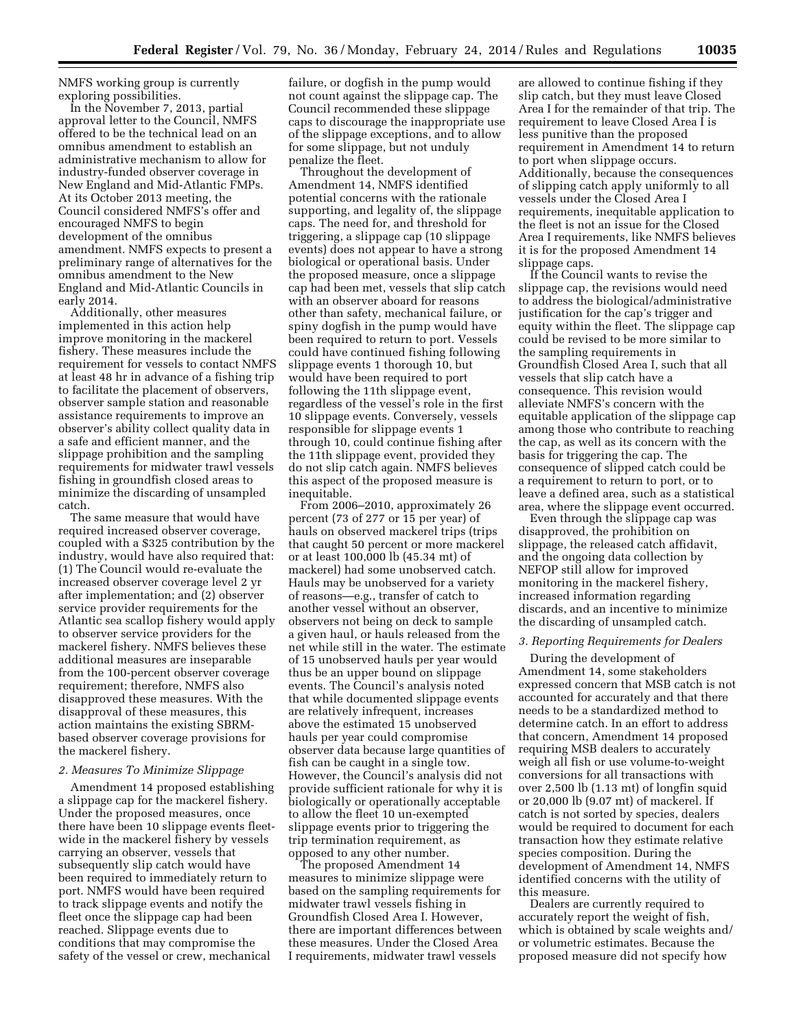NMFS working group is currently exploring possibilities.

In the November 7, 2013, partial approval letter to the Council, NMFS offered to be the technical lead on an omnibus amendment to establish an administrative mechanism to allow for industry-funded observer coverage in New England and Mid-Atlantic FMPs. At its October 2013 meeting, the Council considered NMFS's offer and encouraged NMFS to begin development of the omnibus amendment. NMFS expects to present a preliminary range of alternatives for the omnibus amendment to the New England and Mid-Atlantic Councils in early 2014.

Additionally, other measures implemented in this action help improve monitoring in the mackerel fishery. These measures include the requirement for vessels to contact NMFS at least 48 hr in advance of a fishing trip to facilitate the placement of observers, observer sample station and reasonable assistance requirements to improve an observer's ability collect quality data in a safe and efficient manner, and the slippage prohibition and the sampling requirements for midwater trawl vessels fishing in groundfish closed areas to minimize the discarding of unsampled catch.

The same measure that would have required increased observer coverage, coupled with a \$325 contribution by the industry, would have also required that: (1) The Council would re-evaluate the increased observer coverage level 2 yr after implementation; and (2) observer service provider requirements for the Atlantic sea scallop fishery would apply to observer service providers for the mackerel fishery. NMFS believes these additional measures are inseparable from the 100-percent observer coverage requirement; therefore, NMFS also disapproved these measures. With the disapproval of these measures, this action maintains the existing SBRMbased observer coverage provisions for the mackerel fishery.

#### *2. Measures To Minimize Slippage*

Amendment 14 proposed establishing a slippage cap for the mackerel fishery. Under the proposed measures, once there have been 10 slippage events fleetwide in the mackerel fishery by vessels carrying an observer, vessels that subsequently slip catch would have been required to immediately return to port. NMFS would have been required to track slippage events and notify the fleet once the slippage cap had been reached. Slippage events due to conditions that may compromise the safety of the vessel or crew, mechanical

failure, or dogfish in the pump would not count against the slippage cap. The Council recommended these slippage caps to discourage the inappropriate use of the slippage exceptions, and to allow for some slippage, but not unduly penalize the fleet.

Throughout the development of Amendment 14, NMFS identified potential concerns with the rationale supporting, and legality of, the slippage caps. The need for, and threshold for triggering, a slippage cap (10 slippage events) does not appear to have a strong biological or operational basis. Under the proposed measure, once a slippage cap had been met, vessels that slip catch with an observer aboard for reasons other than safety, mechanical failure, or spiny dogfish in the pump would have been required to return to port. Vessels could have continued fishing following slippage events 1 thorough 10, but would have been required to port following the 11th slippage event, regardless of the vessel's role in the first 10 slippage events. Conversely, vessels responsible for slippage events 1 through 10, could continue fishing after the 11th slippage event, provided they do not slip catch again. NMFS believes this aspect of the proposed measure is inequitable.

From 2006–2010, approximately 26 percent (73 of 277 or 15 per year) of hauls on observed mackerel trips (trips that caught 50 percent or more mackerel or at least 100,000 lb (45.34 mt) of mackerel) had some unobserved catch. Hauls may be unobserved for a variety of reasons—e.g., transfer of catch to another vessel without an observer, observers not being on deck to sample a given haul, or hauls released from the net while still in the water. The estimate of 15 unobserved hauls per year would thus be an upper bound on slippage events. The Council's analysis noted that while documented slippage events are relatively infrequent, increases above the estimated 15 unobserved hauls per year could compromise observer data because large quantities of fish can be caught in a single tow. However, the Council's analysis did not provide sufficient rationale for why it is biologically or operationally acceptable to allow the fleet 10 un-exempted slippage events prior to triggering the trip termination requirement, as opposed to any other number.

The proposed Amendment 14 measures to minimize slippage were based on the sampling requirements for midwater trawl vessels fishing in Groundfish Closed Area I. However, there are important differences between these measures. Under the Closed Area I requirements, midwater trawl vessels

are allowed to continue fishing if they slip catch, but they must leave Closed Area I for the remainder of that trip. The requirement to leave Closed Area I is less punitive than the proposed requirement in Amendment 14 to return to port when slippage occurs. Additionally, because the consequences of slipping catch apply uniformly to all vessels under the Closed Area I requirements, inequitable application to the fleet is not an issue for the Closed Area I requirements, like NMFS believes it is for the proposed Amendment 14 slippage caps.

If the Council wants to revise the slippage cap, the revisions would need to address the biological/administrative justification for the cap's trigger and equity within the fleet. The slippage cap could be revised to be more similar to the sampling requirements in Groundfish Closed Area I, such that all vessels that slip catch have a consequence. This revision would alleviate NMFS's concern with the equitable application of the slippage cap among those who contribute to reaching the cap, as well as its concern with the basis for triggering the cap. The consequence of slipped catch could be a requirement to return to port, or to leave a defined area, such as a statistical area, where the slippage event occurred.

Even through the slippage cap was disapproved, the prohibition on slippage, the released catch affidavit, and the ongoing data collection by NEFOP still allow for improved monitoring in the mackerel fishery, increased information regarding discards, and an incentive to minimize the discarding of unsampled catch.

### *3. Reporting Requirements for Dealers*

During the development of Amendment 14, some stakeholders expressed concern that MSB catch is not accounted for accurately and that there needs to be a standardized method to determine catch. In an effort to address that concern, Amendment 14 proposed requiring MSB dealers to accurately weigh all fish or use volume-to-weight conversions for all transactions with over 2,500 lb (1.13 mt) of longfin squid or 20,000 lb (9.07 mt) of mackerel. If catch is not sorted by species, dealers would be required to document for each transaction how they estimate relative species composition. During the development of Amendment 14, NMFS identified concerns with the utility of this measure.

Dealers are currently required to accurately report the weight of fish, which is obtained by scale weights and/ or volumetric estimates. Because the proposed measure did not specify how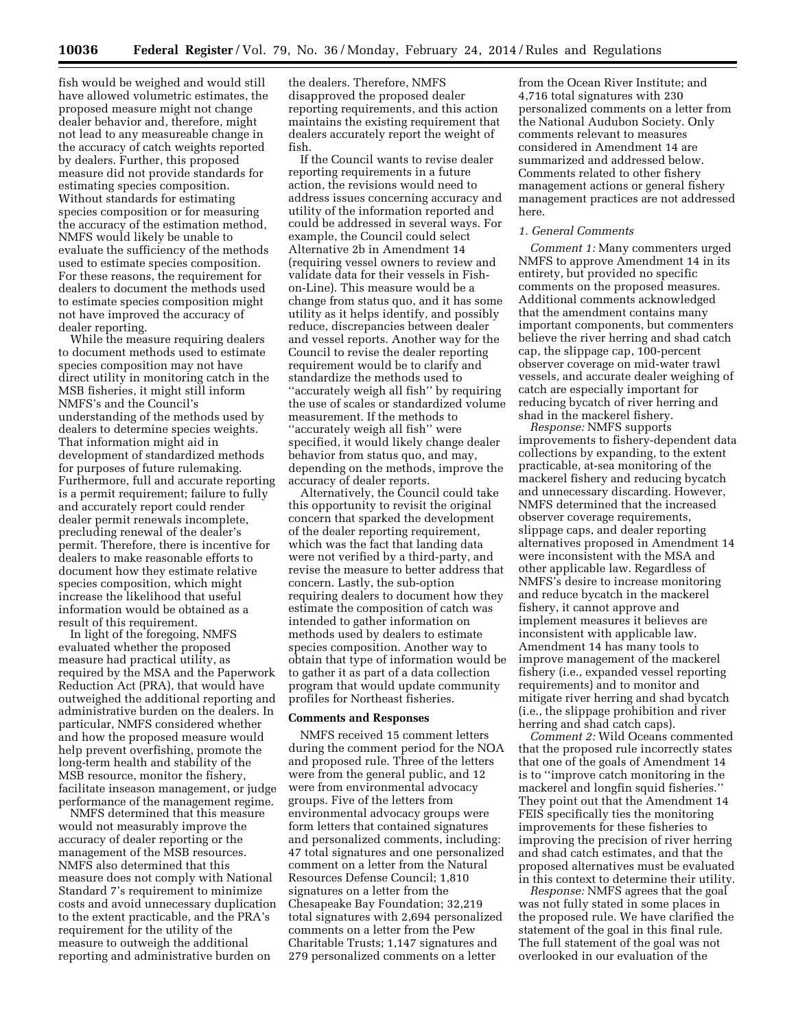fish would be weighed and would still have allowed volumetric estimates, the proposed measure might not change dealer behavior and, therefore, might not lead to any measureable change in the accuracy of catch weights reported by dealers. Further, this proposed measure did not provide standards for estimating species composition. Without standards for estimating species composition or for measuring the accuracy of the estimation method, NMFS would likely be unable to evaluate the sufficiency of the methods used to estimate species composition. For these reasons, the requirement for dealers to document the methods used to estimate species composition might not have improved the accuracy of dealer reporting.

While the measure requiring dealers to document methods used to estimate species composition may not have direct utility in monitoring catch in the MSB fisheries, it might still inform NMFS's and the Council's understanding of the methods used by dealers to determine species weights. That information might aid in development of standardized methods for purposes of future rulemaking. Furthermore, full and accurate reporting is a permit requirement; failure to fully and accurately report could render dealer permit renewals incomplete, precluding renewal of the dealer's permit. Therefore, there is incentive for dealers to make reasonable efforts to document how they estimate relative species composition, which might increase the likelihood that useful information would be obtained as a result of this requirement.

In light of the foregoing, NMFS evaluated whether the proposed measure had practical utility, as required by the MSA and the Paperwork Reduction Act (PRA), that would have outweighed the additional reporting and administrative burden on the dealers. In particular, NMFS considered whether and how the proposed measure would help prevent overfishing, promote the long-term health and stability of the MSB resource, monitor the fishery, facilitate inseason management, or judge performance of the management regime.

NMFS determined that this measure would not measurably improve the accuracy of dealer reporting or the management of the MSB resources. NMFS also determined that this measure does not comply with National Standard 7's requirement to minimize costs and avoid unnecessary duplication to the extent practicable, and the PRA's requirement for the utility of the measure to outweigh the additional reporting and administrative burden on

the dealers. Therefore, NMFS disapproved the proposed dealer reporting requirements, and this action maintains the existing requirement that dealers accurately report the weight of fish.

If the Council wants to revise dealer reporting requirements in a future action, the revisions would need to address issues concerning accuracy and utility of the information reported and could be addressed in several ways. For example, the Council could select Alternative 2b in Amendment 14 (requiring vessel owners to review and validate data for their vessels in Fishon-Line). This measure would be a change from status quo, and it has some utility as it helps identify, and possibly reduce, discrepancies between dealer and vessel reports. Another way for the Council to revise the dealer reporting requirement would be to clarify and standardize the methods used to ''accurately weigh all fish'' by requiring the use of scales or standardized volume measurement. If the methods to ''accurately weigh all fish'' were specified, it would likely change dealer behavior from status quo, and may, depending on the methods, improve the accuracy of dealer reports.

Alternatively, the Council could take this opportunity to revisit the original concern that sparked the development of the dealer reporting requirement, which was the fact that landing data were not verified by a third-party, and revise the measure to better address that concern. Lastly, the sub-option requiring dealers to document how they estimate the composition of catch was intended to gather information on methods used by dealers to estimate species composition. Another way to obtain that type of information would be to gather it as part of a data collection program that would update community profiles for Northeast fisheries.

#### **Comments and Responses**

NMFS received 15 comment letters during the comment period for the NOA and proposed rule. Three of the letters were from the general public, and 12 were from environmental advocacy groups. Five of the letters from environmental advocacy groups were form letters that contained signatures and personalized comments, including: 47 total signatures and one personalized comment on a letter from the Natural Resources Defense Council; 1,810 signatures on a letter from the Chesapeake Bay Foundation; 32,219 total signatures with 2,694 personalized comments on a letter from the Pew Charitable Trusts; 1,147 signatures and 279 personalized comments on a letter

from the Ocean River Institute; and 4,716 total signatures with 230 personalized comments on a letter from the National Audubon Society. Only comments relevant to measures considered in Amendment 14 are summarized and addressed below. Comments related to other fishery management actions or general fishery management practices are not addressed here.

# *1. General Comments*

*Comment 1:* Many commenters urged NMFS to approve Amendment 14 in its entirety, but provided no specific comments on the proposed measures. Additional comments acknowledged that the amendment contains many important components, but commenters believe the river herring and shad catch cap, the slippage cap, 100-percent observer coverage on mid-water trawl vessels, and accurate dealer weighing of catch are especially important for reducing bycatch of river herring and shad in the mackerel fishery.

*Response:* NMFS supports improvements to fishery-dependent data collections by expanding, to the extent practicable, at-sea monitoring of the mackerel fishery and reducing bycatch and unnecessary discarding. However, NMFS determined that the increased observer coverage requirements, slippage caps, and dealer reporting alternatives proposed in Amendment 14 were inconsistent with the MSA and other applicable law. Regardless of NMFS's desire to increase monitoring and reduce bycatch in the mackerel fishery, it cannot approve and implement measures it believes are inconsistent with applicable law. Amendment 14 has many tools to improve management of the mackerel fishery (i.e., expanded vessel reporting requirements) and to monitor and mitigate river herring and shad bycatch (i.e., the slippage prohibition and river herring and shad catch caps).

*Comment 2:* Wild Oceans commented that the proposed rule incorrectly states that one of the goals of Amendment 14 is to ''improve catch monitoring in the mackerel and longfin squid fisheries.'' They point out that the Amendment 14 FEIS specifically ties the monitoring improvements for these fisheries to improving the precision of river herring and shad catch estimates, and that the proposed alternatives must be evaluated in this context to determine their utility.

*Response:* NMFS agrees that the goal was not fully stated in some places in the proposed rule. We have clarified the statement of the goal in this final rule. The full statement of the goal was not overlooked in our evaluation of the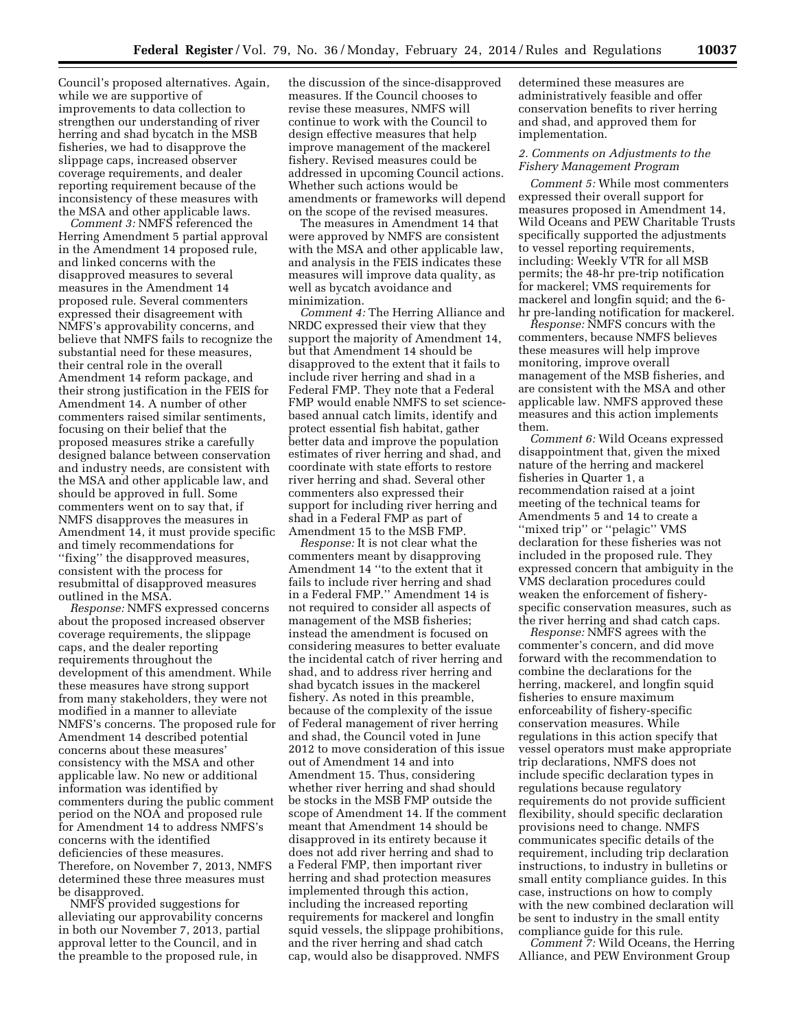Council's proposed alternatives. Again, while we are supportive of improvements to data collection to strengthen our understanding of river herring and shad bycatch in the MSB fisheries, we had to disapprove the slippage caps, increased observer coverage requirements, and dealer reporting requirement because of the inconsistency of these measures with the MSA and other applicable laws.

*Comment 3:* NMFS referenced the Herring Amendment 5 partial approval in the Amendment 14 proposed rule, and linked concerns with the disapproved measures to several measures in the Amendment 14 proposed rule. Several commenters expressed their disagreement with NMFS's approvability concerns, and believe that NMFS fails to recognize the substantial need for these measures, their central role in the overall Amendment 14 reform package, and their strong justification in the FEIS for Amendment 14. A number of other commenters raised similar sentiments, focusing on their belief that the proposed measures strike a carefully designed balance between conservation and industry needs, are consistent with the MSA and other applicable law, and should be approved in full. Some commenters went on to say that, if NMFS disapproves the measures in Amendment 14, it must provide specific and timely recommendations for ''fixing'' the disapproved measures, consistent with the process for resubmittal of disapproved measures outlined in the MSA.

*Response:* NMFS expressed concerns about the proposed increased observer coverage requirements, the slippage caps, and the dealer reporting requirements throughout the development of this amendment. While these measures have strong support from many stakeholders, they were not modified in a manner to alleviate NMFS's concerns. The proposed rule for Amendment 14 described potential concerns about these measures' consistency with the MSA and other applicable law. No new or additional information was identified by commenters during the public comment period on the NOA and proposed rule for Amendment 14 to address NMFS's concerns with the identified deficiencies of these measures. Therefore, on November 7, 2013, NMFS determined these three measures must be disapproved.

NMFS provided suggestions for alleviating our approvability concerns in both our November 7, 2013, partial approval letter to the Council, and in the preamble to the proposed rule, in

the discussion of the since-disapproved measures. If the Council chooses to revise these measures, NMFS will continue to work with the Council to design effective measures that help improve management of the mackerel fishery. Revised measures could be addressed in upcoming Council actions. Whether such actions would be amendments or frameworks will depend on the scope of the revised measures.

The measures in Amendment 14 that were approved by NMFS are consistent with the MSA and other applicable law, and analysis in the FEIS indicates these measures will improve data quality, as well as bycatch avoidance and minimization.

*Comment 4:* The Herring Alliance and NRDC expressed their view that they support the majority of Amendment 14, but that Amendment 14 should be disapproved to the extent that it fails to include river herring and shad in a Federal FMP. They note that a Federal FMP would enable NMFS to set sciencebased annual catch limits, identify and protect essential fish habitat, gather better data and improve the population estimates of river herring and shad, and coordinate with state efforts to restore river herring and shad. Several other commenters also expressed their support for including river herring and shad in a Federal FMP as part of Amendment 15 to the MSB FMP.

*Response:* It is not clear what the commenters meant by disapproving Amendment 14 ''to the extent that it fails to include river herring and shad in a Federal FMP.'' Amendment 14 is not required to consider all aspects of management of the MSB fisheries; instead the amendment is focused on considering measures to better evaluate the incidental catch of river herring and shad, and to address river herring and shad bycatch issues in the mackerel fishery. As noted in this preamble, because of the complexity of the issue of Federal management of river herring and shad, the Council voted in June 2012 to move consideration of this issue out of Amendment 14 and into Amendment 15. Thus, considering whether river herring and shad should be stocks in the MSB FMP outside the scope of Amendment 14. If the comment meant that Amendment 14 should be disapproved in its entirety because it does not add river herring and shad to a Federal FMP, then important river herring and shad protection measures implemented through this action, including the increased reporting requirements for mackerel and longfin squid vessels, the slippage prohibitions, and the river herring and shad catch cap, would also be disapproved. NMFS

determined these measures are administratively feasible and offer conservation benefits to river herring and shad, and approved them for implementation.

#### *2. Comments on Adjustments to the Fishery Management Program*

*Comment 5:* While most commenters expressed their overall support for measures proposed in Amendment 14, Wild Oceans and PEW Charitable Trusts specifically supported the adjustments to vessel reporting requirements, including: Weekly VTR for all MSB permits; the 48-hr pre-trip notification for mackerel; VMS requirements for mackerel and longfin squid; and the 6 hr pre-landing notification for mackerel.

*Response:* NMFS concurs with the commenters, because NMFS believes these measures will help improve monitoring, improve overall management of the MSB fisheries, and are consistent with the MSA and other applicable law. NMFS approved these measures and this action implements them.

*Comment 6:* Wild Oceans expressed disappointment that, given the mixed nature of the herring and mackerel fisheries in Quarter 1, a recommendation raised at a joint meeting of the technical teams for Amendments 5 and 14 to create a ''mixed trip'' or ''pelagic'' VMS declaration for these fisheries was not included in the proposed rule. They expressed concern that ambiguity in the VMS declaration procedures could weaken the enforcement of fisheryspecific conservation measures, such as the river herring and shad catch caps.

*Response:* NMFS agrees with the commenter's concern, and did move forward with the recommendation to combine the declarations for the herring, mackerel, and longfin squid fisheries to ensure maximum enforceability of fishery-specific conservation measures. While regulations in this action specify that vessel operators must make appropriate trip declarations, NMFS does not include specific declaration types in regulations because regulatory requirements do not provide sufficient flexibility, should specific declaration provisions need to change. NMFS communicates specific details of the requirement, including trip declaration instructions, to industry in bulletins or small entity compliance guides. In this case, instructions on how to comply with the new combined declaration will be sent to industry in the small entity compliance guide for this rule.

*Comment 7:* Wild Oceans, the Herring Alliance, and PEW Environment Group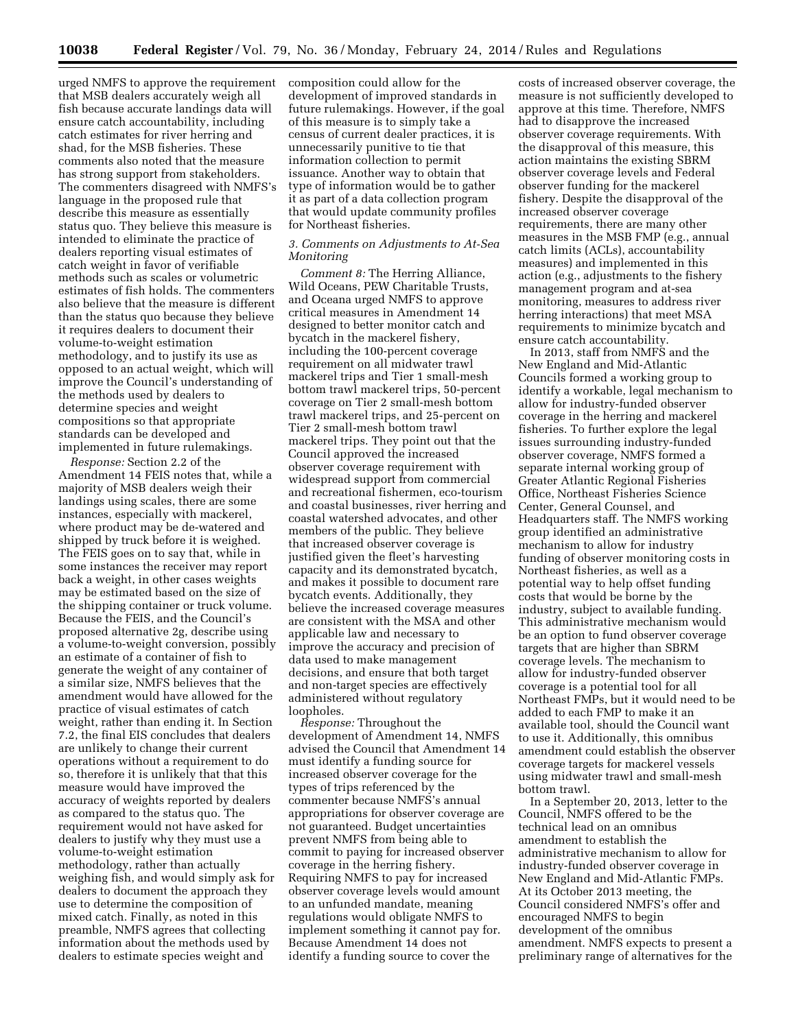urged NMFS to approve the requirement that MSB dealers accurately weigh all fish because accurate landings data will ensure catch accountability, including catch estimates for river herring and shad, for the MSB fisheries. These comments also noted that the measure has strong support from stakeholders. The commenters disagreed with NMFS's language in the proposed rule that describe this measure as essentially status quo. They believe this measure is intended to eliminate the practice of dealers reporting visual estimates of catch weight in favor of verifiable methods such as scales or volumetric estimates of fish holds. The commenters also believe that the measure is different than the status quo because they believe it requires dealers to document their volume-to-weight estimation methodology, and to justify its use as opposed to an actual weight, which will improve the Council's understanding of the methods used by dealers to determine species and weight compositions so that appropriate standards can be developed and implemented in future rulemakings.

*Response:* Section 2.2 of the Amendment 14 FEIS notes that, while a majority of MSB dealers weigh their landings using scales, there are some instances, especially with mackerel, where product may be de-watered and shipped by truck before it is weighed. The FEIS goes on to say that, while in some instances the receiver may report back a weight, in other cases weights may be estimated based on the size of the shipping container or truck volume. Because the FEIS, and the Council's proposed alternative 2g, describe using a volume-to-weight conversion, possibly an estimate of a container of fish to generate the weight of any container of a similar size, NMFS believes that the amendment would have allowed for the practice of visual estimates of catch weight, rather than ending it. In Section 7.2, the final EIS concludes that dealers are unlikely to change their current operations without a requirement to do so, therefore it is unlikely that that this measure would have improved the accuracy of weights reported by dealers as compared to the status quo. The requirement would not have asked for dealers to justify why they must use a volume-to-weight estimation methodology, rather than actually weighing fish, and would simply ask for dealers to document the approach they use to determine the composition of mixed catch. Finally, as noted in this preamble, NMFS agrees that collecting information about the methods used by dealers to estimate species weight and

composition could allow for the development of improved standards in future rulemakings. However, if the goal of this measure is to simply take a census of current dealer practices, it is unnecessarily punitive to tie that information collection to permit issuance. Another way to obtain that type of information would be to gather it as part of a data collection program that would update community profiles for Northeast fisheries.

### *3. Comments on Adjustments to At-Sea Monitoring*

*Comment 8:* The Herring Alliance, Wild Oceans, PEW Charitable Trusts, and Oceana urged NMFS to approve critical measures in Amendment 14 designed to better monitor catch and bycatch in the mackerel fishery, including the 100-percent coverage requirement on all midwater trawl mackerel trips and Tier 1 small-mesh bottom trawl mackerel trips, 50-percent coverage on Tier 2 small-mesh bottom trawl mackerel trips, and 25-percent on Tier 2 small-mesh bottom trawl mackerel trips. They point out that the Council approved the increased observer coverage requirement with widespread support from commercial and recreational fishermen, eco-tourism and coastal businesses, river herring and coastal watershed advocates, and other members of the public. They believe that increased observer coverage is justified given the fleet's harvesting capacity and its demonstrated bycatch, and makes it possible to document rare bycatch events. Additionally, they believe the increased coverage measures are consistent with the MSA and other applicable law and necessary to improve the accuracy and precision of data used to make management decisions, and ensure that both target and non-target species are effectively administered without regulatory loopholes.

*Response:* Throughout the development of Amendment 14, NMFS advised the Council that Amendment 14 must identify a funding source for increased observer coverage for the types of trips referenced by the commenter because NMFS's annual appropriations for observer coverage are not guaranteed. Budget uncertainties prevent NMFS from being able to commit to paying for increased observer coverage in the herring fishery. Requiring NMFS to pay for increased observer coverage levels would amount to an unfunded mandate, meaning regulations would obligate NMFS to implement something it cannot pay for. Because Amendment 14 does not identify a funding source to cover the

costs of increased observer coverage, the measure is not sufficiently developed to approve at this time. Therefore, NMFS had to disapprove the increased observer coverage requirements. With the disapproval of this measure, this action maintains the existing SBRM observer coverage levels and Federal observer funding for the mackerel fishery. Despite the disapproval of the increased observer coverage requirements, there are many other measures in the MSB FMP (e.g., annual catch limits (ACLs), accountability measures) and implemented in this action (e.g., adjustments to the fishery management program and at-sea monitoring, measures to address river herring interactions) that meet MSA requirements to minimize bycatch and ensure catch accountability.

In 2013, staff from NMFS and the New England and Mid-Atlantic Councils formed a working group to identify a workable, legal mechanism to allow for industry-funded observer coverage in the herring and mackerel fisheries. To further explore the legal issues surrounding industry-funded observer coverage, NMFS formed a separate internal working group of Greater Atlantic Regional Fisheries Office, Northeast Fisheries Science Center, General Counsel, and Headquarters staff. The NMFS working group identified an administrative mechanism to allow for industry funding of observer monitoring costs in Northeast fisheries, as well as a potential way to help offset funding costs that would be borne by the industry, subject to available funding. This administrative mechanism would be an option to fund observer coverage targets that are higher than SBRM coverage levels. The mechanism to allow for industry-funded observer coverage is a potential tool for all Northeast FMPs, but it would need to be added to each FMP to make it an available tool, should the Council want to use it. Additionally, this omnibus amendment could establish the observer coverage targets for mackerel vessels using midwater trawl and small-mesh bottom trawl.

In a September 20, 2013, letter to the Council, NMFS offered to be the technical lead on an omnibus amendment to establish the administrative mechanism to allow for industry-funded observer coverage in New England and Mid-Atlantic FMPs. At its October 2013 meeting, the Council considered NMFS's offer and encouraged NMFS to begin development of the omnibus amendment. NMFS expects to present a preliminary range of alternatives for the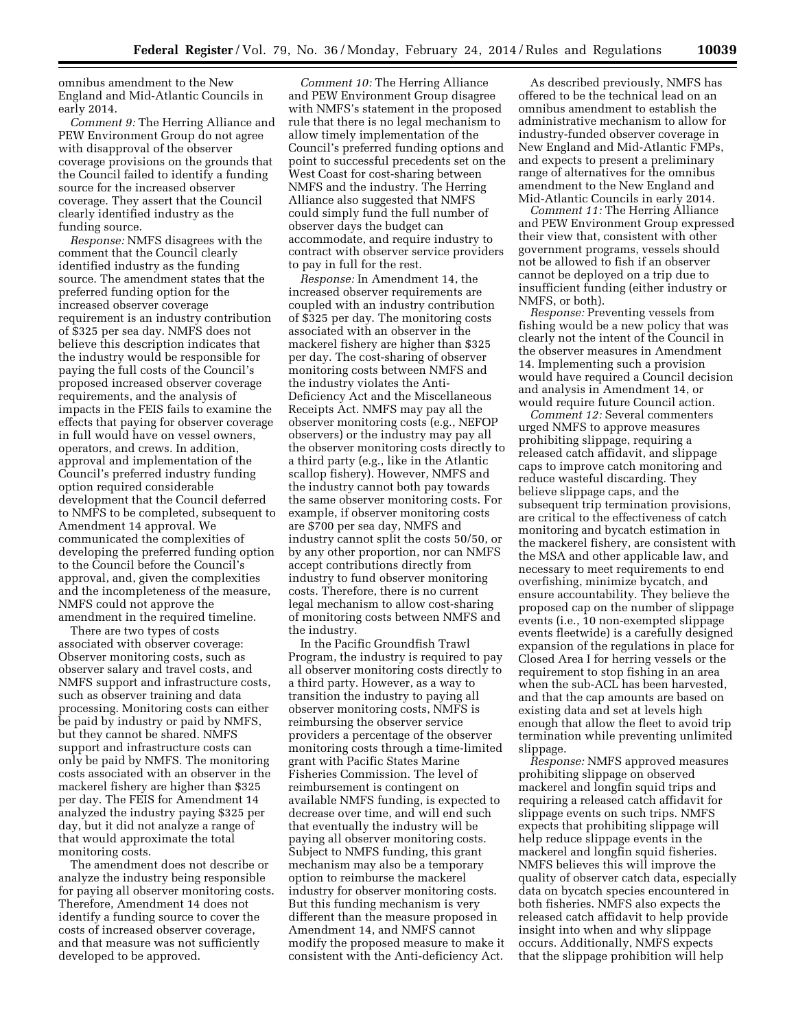omnibus amendment to the New England and Mid-Atlantic Councils in early 2014.

*Comment 9:* The Herring Alliance and PEW Environment Group do not agree with disapproval of the observer coverage provisions on the grounds that the Council failed to identify a funding source for the increased observer coverage. They assert that the Council clearly identified industry as the funding source.

*Response:* NMFS disagrees with the comment that the Council clearly identified industry as the funding source. The amendment states that the preferred funding option for the increased observer coverage requirement is an industry contribution of \$325 per sea day. NMFS does not believe this description indicates that the industry would be responsible for paying the full costs of the Council's proposed increased observer coverage requirements, and the analysis of impacts in the FEIS fails to examine the effects that paying for observer coverage in full would have on vessel owners, operators, and crews. In addition, approval and implementation of the Council's preferred industry funding option required considerable development that the Council deferred to NMFS to be completed, subsequent to Amendment 14 approval. We communicated the complexities of developing the preferred funding option to the Council before the Council's approval, and, given the complexities and the incompleteness of the measure, NMFS could not approve the amendment in the required timeline.

There are two types of costs associated with observer coverage: Observer monitoring costs, such as observer salary and travel costs, and NMFS support and infrastructure costs, such as observer training and data processing. Monitoring costs can either be paid by industry or paid by NMFS, but they cannot be shared. NMFS support and infrastructure costs can only be paid by NMFS. The monitoring costs associated with an observer in the mackerel fishery are higher than \$325 per day. The FEIS for Amendment 14 analyzed the industry paying \$325 per day, but it did not analyze a range of that would approximate the total monitoring costs.

The amendment does not describe or analyze the industry being responsible for paying all observer monitoring costs. Therefore, Amendment 14 does not identify a funding source to cover the costs of increased observer coverage, and that measure was not sufficiently developed to be approved.

*Comment 10:* The Herring Alliance and PEW Environment Group disagree with NMFS's statement in the proposed rule that there is no legal mechanism to allow timely implementation of the Council's preferred funding options and point to successful precedents set on the West Coast for cost-sharing between NMFS and the industry. The Herring Alliance also suggested that NMFS could simply fund the full number of observer days the budget can accommodate, and require industry to contract with observer service providers to pay in full for the rest.

*Response:* In Amendment 14, the increased observer requirements are coupled with an industry contribution of \$325 per day. The monitoring costs associated with an observer in the mackerel fishery are higher than \$325 per day. The cost-sharing of observer monitoring costs between NMFS and the industry violates the Anti-Deficiency Act and the Miscellaneous Receipts Act. NMFS may pay all the observer monitoring costs (e.g., NEFOP observers) or the industry may pay all the observer monitoring costs directly to a third party (e.g., like in the Atlantic scallop fishery). However, NMFS and the industry cannot both pay towards the same observer monitoring costs. For example, if observer monitoring costs are \$700 per sea day, NMFS and industry cannot split the costs 50/50, or by any other proportion, nor can NMFS accept contributions directly from industry to fund observer monitoring costs. Therefore, there is no current legal mechanism to allow cost-sharing of monitoring costs between NMFS and the industry.

In the Pacific Groundfish Trawl Program, the industry is required to pay all observer monitoring costs directly to a third party. However, as a way to transition the industry to paying all observer monitoring costs, NMFS is reimbursing the observer service providers a percentage of the observer monitoring costs through a time-limited grant with Pacific States Marine Fisheries Commission. The level of reimbursement is contingent on available NMFS funding, is expected to decrease over time, and will end such that eventually the industry will be paying all observer monitoring costs. Subject to NMFS funding, this grant mechanism may also be a temporary option to reimburse the mackerel industry for observer monitoring costs. But this funding mechanism is very different than the measure proposed in Amendment 14, and NMFS cannot modify the proposed measure to make it consistent with the Anti-deficiency Act.

As described previously, NMFS has offered to be the technical lead on an omnibus amendment to establish the administrative mechanism to allow for industry-funded observer coverage in New England and Mid-Atlantic FMPs, and expects to present a preliminary range of alternatives for the omnibus amendment to the New England and Mid-Atlantic Councils in early 2014.

*Comment 11:* The Herring Alliance and PEW Environment Group expressed their view that, consistent with other government programs, vessels should not be allowed to fish if an observer cannot be deployed on a trip due to insufficient funding (either industry or NMFS, or both).

*Response:* Preventing vessels from fishing would be a new policy that was clearly not the intent of the Council in the observer measures in Amendment 14. Implementing such a provision would have required a Council decision and analysis in Amendment 14, or would require future Council action.

*Comment 12:* Several commenters urged NMFS to approve measures prohibiting slippage, requiring a released catch affidavit, and slippage caps to improve catch monitoring and reduce wasteful discarding. They believe slippage caps, and the subsequent trip termination provisions, are critical to the effectiveness of catch monitoring and bycatch estimation in the mackerel fishery, are consistent with the MSA and other applicable law, and necessary to meet requirements to end overfishing, minimize bycatch, and ensure accountability. They believe the proposed cap on the number of slippage events (i.e., 10 non-exempted slippage events fleetwide) is a carefully designed expansion of the regulations in place for Closed Area I for herring vessels or the requirement to stop fishing in an area when the sub-ACL has been harvested, and that the cap amounts are based on existing data and set at levels high enough that allow the fleet to avoid trip termination while preventing unlimited slippage.

*Response:* NMFS approved measures prohibiting slippage on observed mackerel and longfin squid trips and requiring a released catch affidavit for slippage events on such trips. NMFS expects that prohibiting slippage will help reduce slippage events in the mackerel and longfin squid fisheries. NMFS believes this will improve the quality of observer catch data, especially data on bycatch species encountered in both fisheries. NMFS also expects the released catch affidavit to help provide insight into when and why slippage occurs. Additionally, NMFS expects that the slippage prohibition will help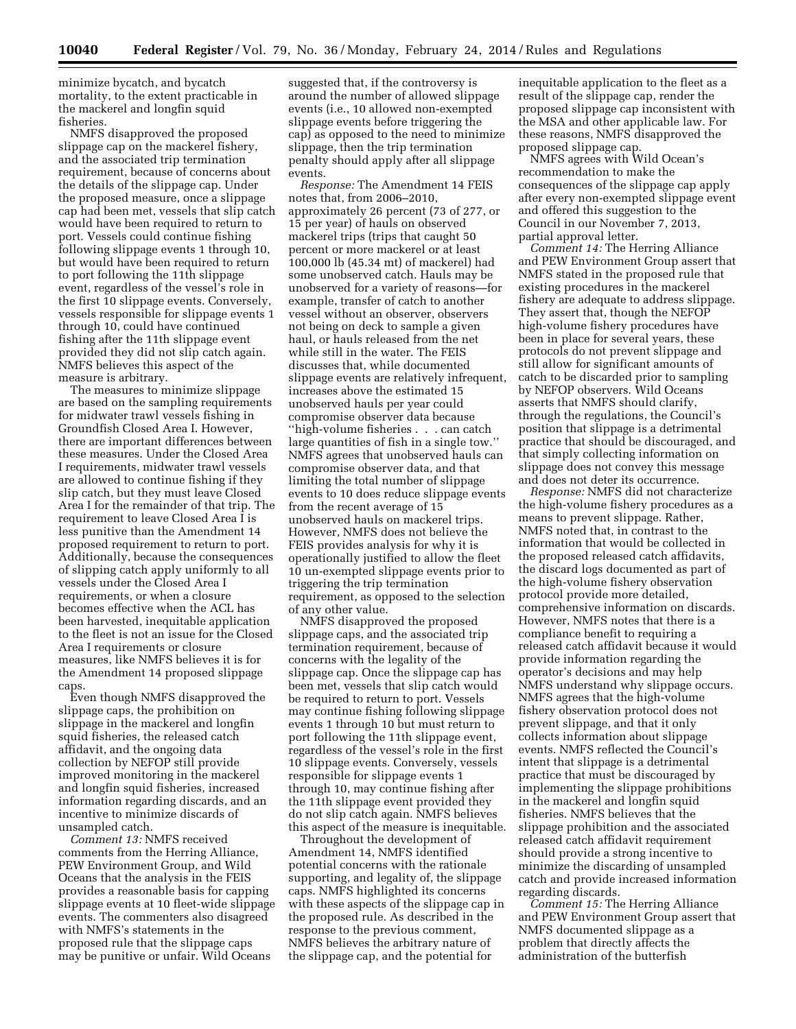minimize bycatch, and bycatch mortality, to the extent practicable in the mackerel and longfin squid fisheries.

NMFS disapproved the proposed slippage cap on the mackerel fishery, and the associated trip termination requirement, because of concerns about the details of the slippage cap. Under the proposed measure, once a slippage cap had been met, vessels that slip catch would have been required to return to port. Vessels could continue fishing following slippage events 1 through 10, but would have been required to return to port following the 11th slippage event, regardless of the vessel's role in the first 10 slippage events. Conversely, vessels responsible for slippage events 1 through 10, could have continued fishing after the 11th slippage event provided they did not slip catch again. NMFS believes this aspect of the measure is arbitrary.

The measures to minimize slippage are based on the sampling requirements for midwater trawl vessels fishing in Groundfish Closed Area I. However, there are important differences between these measures. Under the Closed Area I requirements, midwater trawl vessels are allowed to continue fishing if they slip catch, but they must leave Closed Area I for the remainder of that trip. The requirement to leave Closed Area I is less punitive than the Amendment 14 proposed requirement to return to port. Additionally, because the consequences of slipping catch apply uniformly to all vessels under the Closed Area I requirements, or when a closure becomes effective when the ACL has been harvested, inequitable application to the fleet is not an issue for the Closed Area I requirements or closure measures, like NMFS believes it is for the Amendment 14 proposed slippage caps.

Even though NMFS disapproved the slippage caps, the prohibition on slippage in the mackerel and longfin squid fisheries, the released catch affidavit, and the ongoing data collection by NEFOP still provide improved monitoring in the mackerel and longfin squid fisheries, increased information regarding discards, and an incentive to minimize discards of unsampled catch.

*Comment 13:* NMFS received comments from the Herring Alliance, PEW Environment Group, and Wild Oceans that the analysis in the FEIS provides a reasonable basis for capping slippage events at 10 fleet-wide slippage events. The commenters also disagreed with NMFS's statements in the proposed rule that the slippage caps may be punitive or unfair. Wild Oceans

suggested that, if the controversy is around the number of allowed slippage events (i.e., 10 allowed non-exempted slippage events before triggering the cap) as opposed to the need to minimize slippage, then the trip termination penalty should apply after all slippage events.

*Response:* The Amendment 14 FEIS notes that, from 2006–2010, approximately 26 percent (73 of 277, or 15 per year) of hauls on observed mackerel trips (trips that caught 50 percent or more mackerel or at least 100,000 lb (45.34 mt) of mackerel) had some unobserved catch. Hauls may be unobserved for a variety of reasons—for example, transfer of catch to another vessel without an observer, observers not being on deck to sample a given haul, or hauls released from the net while still in the water. The FEIS discusses that, while documented slippage events are relatively infrequent, increases above the estimated 15 unobserved hauls per year could compromise observer data because ''high-volume fisheries . . . can catch large quantities of fish in a single tow.'' NMFS agrees that unobserved hauls can compromise observer data, and that limiting the total number of slippage events to 10 does reduce slippage events from the recent average of 15 unobserved hauls on mackerel trips. However, NMFS does not believe the FEIS provides analysis for why it is operationally justified to allow the fleet 10 un-exempted slippage events prior to triggering the trip termination requirement, as opposed to the selection of any other value.

NMFS disapproved the proposed slippage caps, and the associated trip termination requirement, because of concerns with the legality of the slippage cap. Once the slippage cap has been met, vessels that slip catch would be required to return to port. Vessels may continue fishing following slippage events 1 through 10 but must return to port following the 11th slippage event, regardless of the vessel's role in the first 10 slippage events. Conversely, vessels responsible for slippage events 1 through 10, may continue fishing after the 11th slippage event provided they do not slip catch again. NMFS believes this aspect of the measure is inequitable.

Throughout the development of Amendment 14, NMFS identified potential concerns with the rationale supporting, and legality of, the slippage caps. NMFS highlighted its concerns with these aspects of the slippage cap in the proposed rule. As described in the response to the previous comment, NMFS believes the arbitrary nature of the slippage cap, and the potential for

inequitable application to the fleet as a result of the slippage cap, render the proposed slippage cap inconsistent with the MSA and other applicable law. For these reasons, NMFS disapproved the proposed slippage cap.

NMFS agrees with Wild Ocean's recommendation to make the consequences of the slippage cap apply after every non-exempted slippage event and offered this suggestion to the Council in our November 7, 2013, partial approval letter.

*Comment 14:* The Herring Alliance and PEW Environment Group assert that NMFS stated in the proposed rule that existing procedures in the mackerel fishery are adequate to address slippage. They assert that, though the NEFOP high-volume fishery procedures have been in place for several years, these protocols do not prevent slippage and still allow for significant amounts of catch to be discarded prior to sampling by NEFOP observers. Wild Oceans asserts that NMFS should clarify, through the regulations, the Council's position that slippage is a detrimental practice that should be discouraged, and that simply collecting information on slippage does not convey this message and does not deter its occurrence.

*Response:* NMFS did not characterize the high-volume fishery procedures as a means to prevent slippage. Rather, NMFS noted that, in contrast to the information that would be collected in the proposed released catch affidavits, the discard logs documented as part of the high-volume fishery observation protocol provide more detailed, comprehensive information on discards. However, NMFS notes that there is a compliance benefit to requiring a released catch affidavit because it would provide information regarding the operator's decisions and may help NMFS understand why slippage occurs. NMFS agrees that the high-volume fishery observation protocol does not prevent slippage, and that it only collects information about slippage events. NMFS reflected the Council's intent that slippage is a detrimental practice that must be discouraged by implementing the slippage prohibitions in the mackerel and longfin squid fisheries. NMFS believes that the slippage prohibition and the associated released catch affidavit requirement should provide a strong incentive to minimize the discarding of unsampled catch and provide increased information regarding discards.

*Comment 15:* The Herring Alliance and PEW Environment Group assert that NMFS documented slippage as a problem that directly affects the administration of the butterfish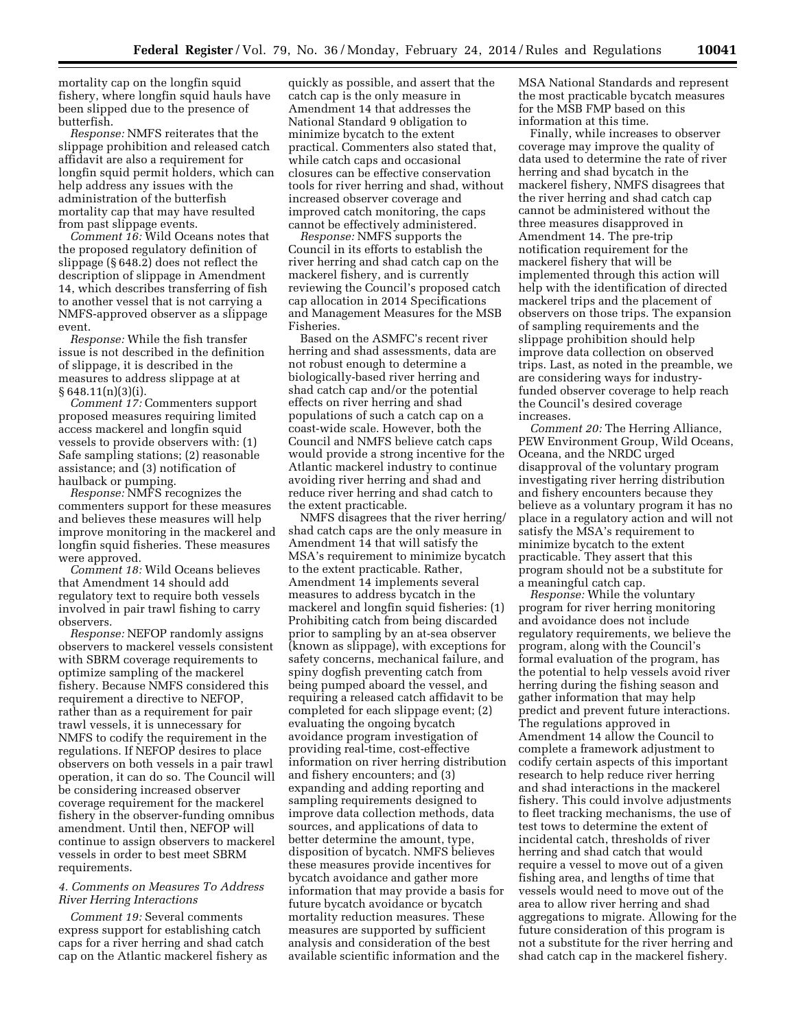mortality cap on the longfin squid fishery, where longfin squid hauls have been slipped due to the presence of butterfish.

*Response:* NMFS reiterates that the slippage prohibition and released catch affidavit are also a requirement for longfin squid permit holders, which can help address any issues with the administration of the butterfish mortality cap that may have resulted from past slippage events.

*Comment 16:* Wild Oceans notes that the proposed regulatory definition of slippage (§ 648.2) does not reflect the description of slippage in Amendment 14, which describes transferring of fish to another vessel that is not carrying a NMFS-approved observer as a slippage event.

*Response:* While the fish transfer issue is not described in the definition of slippage, it is described in the measures to address slippage at at  $§ 648.11(n)(3)(i).$ 

*Comment 17:* Commenters support proposed measures requiring limited access mackerel and longfin squid vessels to provide observers with: (1) Safe sampling stations; (2) reasonable assistance; and (3) notification of haulback or pumping.

*Response:* NMFS recognizes the commenters support for these measures and believes these measures will help improve monitoring in the mackerel and longfin squid fisheries. These measures were approved.

*Comment 18:* Wild Oceans believes that Amendment 14 should add regulatory text to require both vessels involved in pair trawl fishing to carry observers.

*Response:* NEFOP randomly assigns observers to mackerel vessels consistent with SBRM coverage requirements to optimize sampling of the mackerel fishery. Because NMFS considered this requirement a directive to NEFOP, rather than as a requirement for pair trawl vessels, it is unnecessary for NMFS to codify the requirement in the regulations. If NEFOP desires to place observers on both vessels in a pair trawl operation, it can do so. The Council will be considering increased observer coverage requirement for the mackerel fishery in the observer-funding omnibus amendment. Until then, NEFOP will continue to assign observers to mackerel vessels in order to best meet SBRM requirements.

### *4. Comments on Measures To Address River Herring Interactions*

*Comment 19:* Several comments express support for establishing catch caps for a river herring and shad catch cap on the Atlantic mackerel fishery as

quickly as possible, and assert that the catch cap is the only measure in Amendment 14 that addresses the National Standard 9 obligation to minimize bycatch to the extent practical. Commenters also stated that, while catch caps and occasional closures can be effective conservation tools for river herring and shad, without increased observer coverage and improved catch monitoring, the caps cannot be effectively administered.

*Response:* NMFS supports the Council in its efforts to establish the river herring and shad catch cap on the mackerel fishery, and is currently reviewing the Council's proposed catch cap allocation in 2014 Specifications and Management Measures for the MSB Fisheries.

Based on the ASMFC's recent river herring and shad assessments, data are not robust enough to determine a biologically-based river herring and shad catch cap and/or the potential effects on river herring and shad populations of such a catch cap on a coast-wide scale. However, both the Council and NMFS believe catch caps would provide a strong incentive for the Atlantic mackerel industry to continue avoiding river herring and shad and reduce river herring and shad catch to the extent practicable.

NMFS disagrees that the river herring/ shad catch caps are the only measure in Amendment 14 that will satisfy the MSA's requirement to minimize bycatch to the extent practicable. Rather, Amendment 14 implements several measures to address bycatch in the mackerel and longfin squid fisheries: (1) Prohibiting catch from being discarded prior to sampling by an at-sea observer (known as slippage), with exceptions for safety concerns, mechanical failure, and spiny dogfish preventing catch from being pumped aboard the vessel, and requiring a released catch affidavit to be completed for each slippage event; (2) evaluating the ongoing bycatch avoidance program investigation of providing real-time, cost-effective information on river herring distribution and fishery encounters; and (3) expanding and adding reporting and sampling requirements designed to improve data collection methods, data sources, and applications of data to better determine the amount, type, disposition of bycatch. NMFS believes these measures provide incentives for bycatch avoidance and gather more information that may provide a basis for future bycatch avoidance or bycatch mortality reduction measures. These measures are supported by sufficient analysis and consideration of the best available scientific information and the

MSA National Standards and represent the most practicable bycatch measures for the MSB FMP based on this information at this time.

Finally, while increases to observer coverage may improve the quality of data used to determine the rate of river herring and shad bycatch in the mackerel fishery, NMFS disagrees that the river herring and shad catch cap cannot be administered without the three measures disapproved in Amendment 14. The pre-trip notification requirement for the mackerel fishery that will be implemented through this action will help with the identification of directed mackerel trips and the placement of observers on those trips. The expansion of sampling requirements and the slippage prohibition should help improve data collection on observed trips. Last, as noted in the preamble, we are considering ways for industryfunded observer coverage to help reach the Council's desired coverage increases.

*Comment 20:* The Herring Alliance, PEW Environment Group, Wild Oceans, Oceana, and the NRDC urged disapproval of the voluntary program investigating river herring distribution and fishery encounters because they believe as a voluntary program it has no place in a regulatory action and will not satisfy the MSA's requirement to minimize bycatch to the extent practicable. They assert that this program should not be a substitute for a meaningful catch cap.

*Response:* While the voluntary program for river herring monitoring and avoidance does not include regulatory requirements, we believe the program, along with the Council's formal evaluation of the program, has the potential to help vessels avoid river herring during the fishing season and gather information that may help predict and prevent future interactions. The regulations approved in Amendment 14 allow the Council to complete a framework adjustment to codify certain aspects of this important research to help reduce river herring and shad interactions in the mackerel fishery. This could involve adjustments to fleet tracking mechanisms, the use of test tows to determine the extent of incidental catch, thresholds of river herring and shad catch that would require a vessel to move out of a given fishing area, and lengths of time that vessels would need to move out of the area to allow river herring and shad aggregations to migrate. Allowing for the future consideration of this program is not a substitute for the river herring and shad catch cap in the mackerel fishery.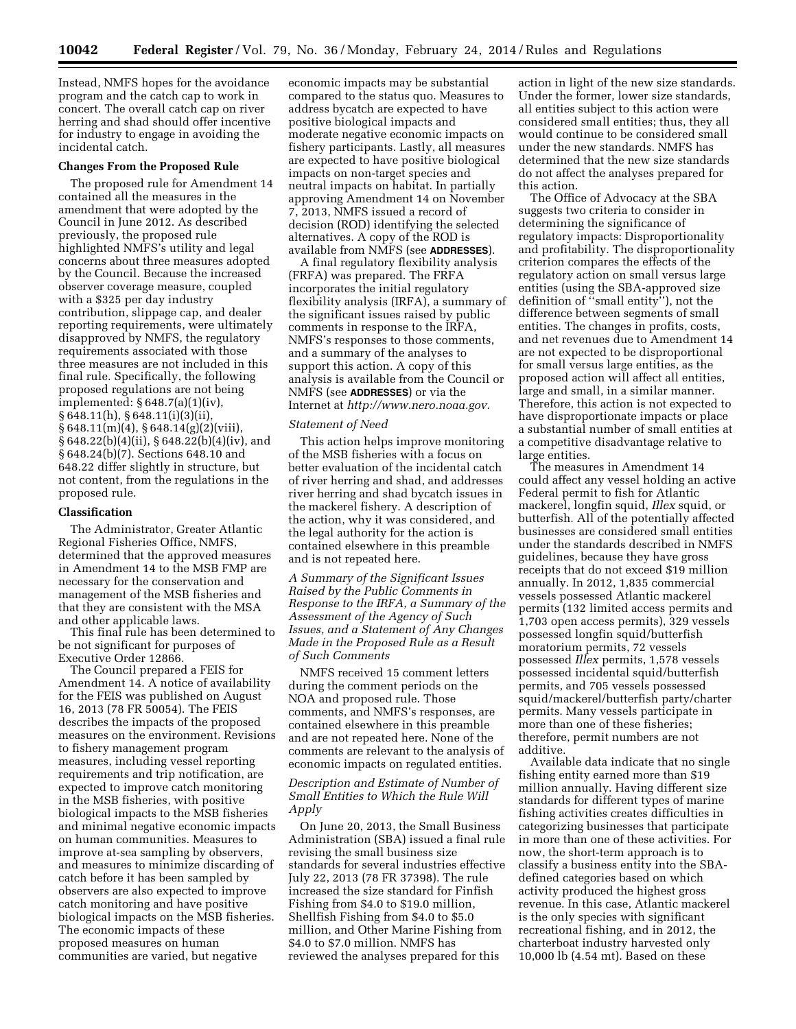Instead, NMFS hopes for the avoidance program and the catch cap to work in concert. The overall catch cap on river herring and shad should offer incentive for industry to engage in avoiding the incidental catch.

#### **Changes From the Proposed Rule**

The proposed rule for Amendment 14 contained all the measures in the amendment that were adopted by the Council in June 2012. As described previously, the proposed rule highlighted NMFS's utility and legal concerns about three measures adopted by the Council. Because the increased observer coverage measure, coupled with a \$325 per day industry contribution, slippage cap, and dealer reporting requirements, were ultimately disapproved by NMFS, the regulatory requirements associated with those three measures are not included in this final rule. Specifically, the following proposed regulations are not being implemented: § 648.7(a)(1)(iv), § 648.11(h), § 648.11(i)(3)(ii),  $§ 648.11(m)(4), § 648.14(g)(2)(viii),$ § 648.22(b)(4)(ii), § 648.22(b)(4)(iv), and § 648.24(b)(7). Sections 648.10 and 648.22 differ slightly in structure, but not content, from the regulations in the proposed rule.

#### **Classification**

The Administrator, Greater Atlantic Regional Fisheries Office, NMFS, determined that the approved measures in Amendment 14 to the MSB FMP are necessary for the conservation and management of the MSB fisheries and that they are consistent with the MSA and other applicable laws.

This final rule has been determined to be not significant for purposes of Executive Order 12866.

The Council prepared a FEIS for Amendment 14. A notice of availability for the FEIS was published on August 16, 2013 (78 FR 50054). The FEIS describes the impacts of the proposed measures on the environment. Revisions to fishery management program measures, including vessel reporting requirements and trip notification, are expected to improve catch monitoring in the MSB fisheries, with positive biological impacts to the MSB fisheries and minimal negative economic impacts on human communities. Measures to improve at-sea sampling by observers, and measures to minimize discarding of catch before it has been sampled by observers are also expected to improve catch monitoring and have positive biological impacts on the MSB fisheries. The economic impacts of these proposed measures on human communities are varied, but negative

economic impacts may be substantial compared to the status quo. Measures to address bycatch are expected to have positive biological impacts and moderate negative economic impacts on fishery participants. Lastly, all measures are expected to have positive biological impacts on non-target species and neutral impacts on habitat. In partially approving Amendment 14 on November 7, 2013, NMFS issued a record of decision (ROD) identifying the selected alternatives. A copy of the ROD is available from NMFS (see **ADDRESSES**).

A final regulatory flexibility analysis (FRFA) was prepared. The FRFA incorporates the initial regulatory flexibility analysis (IRFA), a summary of the significant issues raised by public comments in response to the IRFA, NMFS's responses to those comments, and a summary of the analyses to support this action. A copy of this analysis is available from the Council or NMFS (see **ADDRESSES**) or via the Internet at *[http://www.nero.noaa.gov.](http://www.nero.noaa.gov)* 

#### *Statement of Need*

This action helps improve monitoring of the MSB fisheries with a focus on better evaluation of the incidental catch of river herring and shad, and addresses river herring and shad bycatch issues in the mackerel fishery. A description of the action, why it was considered, and the legal authority for the action is contained elsewhere in this preamble and is not repeated here.

*A Summary of the Significant Issues Raised by the Public Comments in Response to the IRFA, a Summary of the Assessment of the Agency of Such Issues, and a Statement of Any Changes Made in the Proposed Rule as a Result of Such Comments* 

NMFS received 15 comment letters during the comment periods on the NOA and proposed rule. Those comments, and NMFS's responses, are contained elsewhere in this preamble and are not repeated here. None of the comments are relevant to the analysis of economic impacts on regulated entities.

## *Description and Estimate of Number of Small Entities to Which the Rule Will Apply*

On June 20, 2013, the Small Business Administration (SBA) issued a final rule revising the small business size standards for several industries effective July 22, 2013 (78 FR 37398). The rule increased the size standard for Finfish Fishing from \$4.0 to \$19.0 million, Shellfish Fishing from \$4.0 to \$5.0 million, and Other Marine Fishing from \$4.0 to \$7.0 million. NMFS has reviewed the analyses prepared for this

action in light of the new size standards. Under the former, lower size standards, all entities subject to this action were considered small entities; thus, they all would continue to be considered small under the new standards. NMFS has determined that the new size standards do not affect the analyses prepared for this action.

The Office of Advocacy at the SBA suggests two criteria to consider in determining the significance of regulatory impacts: Disproportionality and profitability. The disproportionality criterion compares the effects of the regulatory action on small versus large entities (using the SBA-approved size definition of ''small entity''), not the difference between segments of small entities. The changes in profits, costs, and net revenues due to Amendment 14 are not expected to be disproportional for small versus large entities, as the proposed action will affect all entities, large and small, in a similar manner. Therefore, this action is not expected to have disproportionate impacts or place a substantial number of small entities at a competitive disadvantage relative to large entities.

The measures in Amendment 14 could affect any vessel holding an active Federal permit to fish for Atlantic mackerel, longfin squid, *Illex* squid, or butterfish. All of the potentially affected businesses are considered small entities under the standards described in NMFS guidelines, because they have gross receipts that do not exceed \$19 million annually. In 2012, 1,835 commercial vessels possessed Atlantic mackerel permits (132 limited access permits and 1,703 open access permits), 329 vessels possessed longfin squid/butterfish moratorium permits, 72 vessels possessed *Illex* permits, 1,578 vessels possessed incidental squid/butterfish permits, and 705 vessels possessed squid/mackerel/butterfish party/charter permits. Many vessels participate in more than one of these fisheries; therefore, permit numbers are not additive.

Available data indicate that no single fishing entity earned more than \$19 million annually. Having different size standards for different types of marine fishing activities creates difficulties in categorizing businesses that participate in more than one of these activities. For now, the short-term approach is to classify a business entity into the SBAdefined categories based on which activity produced the highest gross revenue. In this case, Atlantic mackerel is the only species with significant recreational fishing, and in 2012, the charterboat industry harvested only 10,000 lb (4.54 mt). Based on these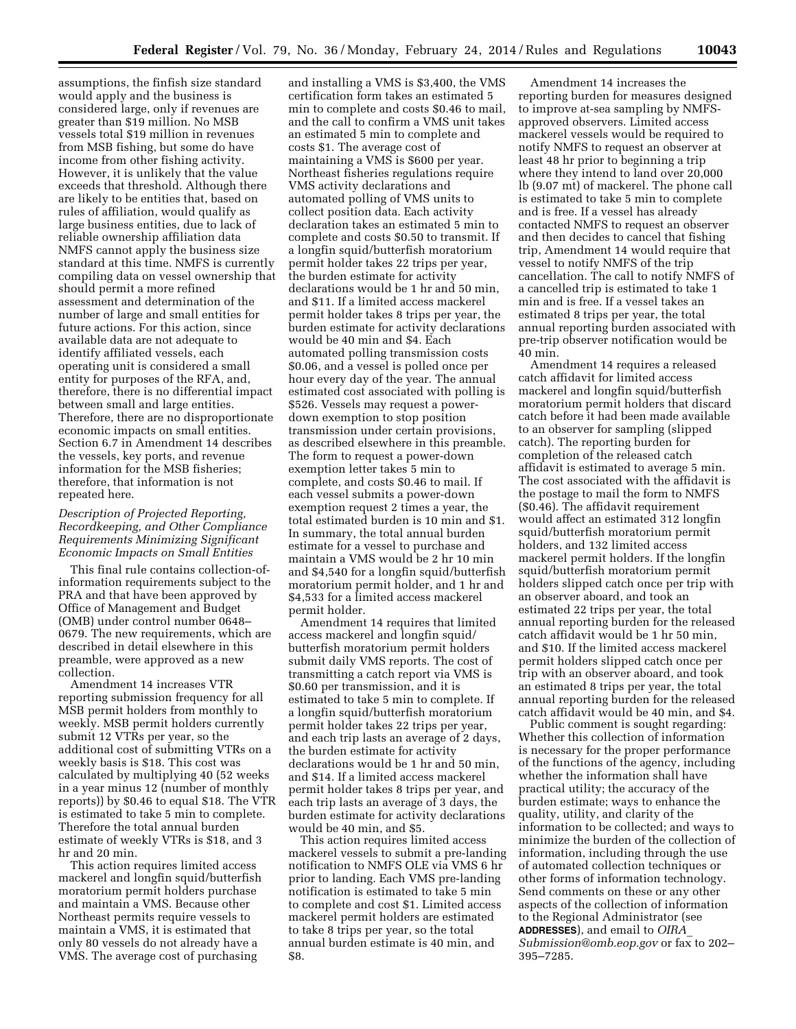assumptions, the finfish size standard would apply and the business is considered large, only if revenues are greater than \$19 million. No MSB vessels total \$19 million in revenues from MSB fishing, but some do have income from other fishing activity. However, it is unlikely that the value exceeds that threshold. Although there are likely to be entities that, based on rules of affiliation, would qualify as large business entities, due to lack of reliable ownership affiliation data NMFS cannot apply the business size standard at this time. NMFS is currently compiling data on vessel ownership that should permit a more refined assessment and determination of the number of large and small entities for future actions. For this action, since available data are not adequate to identify affiliated vessels, each operating unit is considered a small entity for purposes of the RFA, and, therefore, there is no differential impact between small and large entities. Therefore, there are no disproportionate economic impacts on small entities. Section 6.7 in Amendment 14 describes the vessels, key ports, and revenue information for the MSB fisheries; therefore, that information is not repeated here.

# *Description of Projected Reporting, Recordkeeping, and Other Compliance Requirements Minimizing Significant Economic Impacts on Small Entities*

This final rule contains collection-ofinformation requirements subject to the PRA and that have been approved by Office of Management and Budget (OMB) under control number 0648– 0679. The new requirements, which are described in detail elsewhere in this preamble, were approved as a new collection.

Amendment 14 increases VTR reporting submission frequency for all MSB permit holders from monthly to weekly. MSB permit holders currently submit 12 VTRs per year, so the additional cost of submitting VTRs on a weekly basis is \$18. This cost was calculated by multiplying 40 (52 weeks in a year minus 12 (number of monthly reports)) by \$0.46 to equal \$18. The VTR is estimated to take 5 min to complete. Therefore the total annual burden estimate of weekly VTRs is \$18, and 3 hr and 20 min.

This action requires limited access mackerel and longfin squid/butterfish moratorium permit holders purchase and maintain a VMS. Because other Northeast permits require vessels to maintain a VMS, it is estimated that only 80 vessels do not already have a VMS. The average cost of purchasing

and installing a VMS is \$3,400, the VMS certification form takes an estimated 5 min to complete and costs \$0.46 to mail, and the call to confirm a VMS unit takes an estimated 5 min to complete and costs \$1. The average cost of maintaining a VMS is \$600 per year. Northeast fisheries regulations require VMS activity declarations and automated polling of VMS units to collect position data. Each activity declaration takes an estimated 5 min to complete and costs \$0.50 to transmit. If a longfin squid/butterfish moratorium permit holder takes 22 trips per year, the burden estimate for activity declarations would be 1 hr and 50 min, and \$11. If a limited access mackerel permit holder takes 8 trips per year, the burden estimate for activity declarations would be 40 min and \$4. Each automated polling transmission costs \$0.06, and a vessel is polled once per hour every day of the year. The annual estimated cost associated with polling is \$526. Vessels may request a powerdown exemption to stop position transmission under certain provisions, as described elsewhere in this preamble. The form to request a power-down exemption letter takes 5 min to complete, and costs \$0.46 to mail. If each vessel submits a power-down exemption request 2 times a year, the total estimated burden is 10 min and \$1. In summary, the total annual burden estimate for a vessel to purchase and maintain a VMS would be 2 hr 10 min and \$4,540 for a longfin squid/butterfish moratorium permit holder, and 1 hr and \$4,533 for a limited access mackerel permit holder.

Amendment 14 requires that limited access mackerel and longfin squid/ butterfish moratorium permit holders submit daily VMS reports. The cost of transmitting a catch report via VMS is \$0.60 per transmission, and it is estimated to take 5 min to complete. If a longfin squid/butterfish moratorium permit holder takes 22 trips per year, and each trip lasts an average of 2 days, the burden estimate for activity declarations would be 1 hr and 50 min, and \$14. If a limited access mackerel permit holder takes 8 trips per year, and each trip lasts an average of 3 days, the burden estimate for activity declarations would be 40 min, and \$5.

This action requires limited access mackerel vessels to submit a pre-landing notification to NMFS OLE via VMS 6 hr prior to landing. Each VMS pre-landing notification is estimated to take 5 min to complete and cost \$1. Limited access mackerel permit holders are estimated to take 8 trips per year, so the total annual burden estimate is 40 min, and \$8.

Amendment 14 increases the reporting burden for measures designed to improve at-sea sampling by NMFSapproved observers. Limited access mackerel vessels would be required to notify NMFS to request an observer at least 48 hr prior to beginning a trip where they intend to land over 20,000 lb (9.07 mt) of mackerel. The phone call is estimated to take 5 min to complete and is free. If a vessel has already contacted NMFS to request an observer and then decides to cancel that fishing trip, Amendment 14 would require that vessel to notify NMFS of the trip cancellation. The call to notify NMFS of a cancelled trip is estimated to take 1 min and is free. If a vessel takes an estimated 8 trips per year, the total annual reporting burden associated with pre-trip observer notification would be 40 min.

Amendment 14 requires a released catch affidavit for limited access mackerel and longfin squid/butterfish moratorium permit holders that discard catch before it had been made available to an observer for sampling (slipped catch). The reporting burden for completion of the released catch affidavit is estimated to average 5 min. The cost associated with the affidavit is the postage to mail the form to NMFS (\$0.46). The affidavit requirement would affect an estimated 312 longfin squid/butterfish moratorium permit holders, and 132 limited access mackerel permit holders. If the longfin squid/butterfish moratorium permit holders slipped catch once per trip with an observer aboard, and took an estimated 22 trips per year, the total annual reporting burden for the released catch affidavit would be 1 hr 50 min, and \$10. If the limited access mackerel permit holders slipped catch once per trip with an observer aboard, and took an estimated 8 trips per year, the total annual reporting burden for the released catch affidavit would be 40 min, and \$4.

Public comment is sought regarding: Whether this collection of information is necessary for the proper performance of the functions of the agency, including whether the information shall have practical utility; the accuracy of the burden estimate; ways to enhance the quality, utility, and clarity of the information to be collected; and ways to minimize the burden of the collection of information, including through the use of automated collection techniques or other forms of information technology. Send comments on these or any other aspects of the collection of information to the Regional Administrator (see **ADDRESSES**), and email to *[OIRA](mailto:OIRA_Submission@omb.eop.gov)*\_

*[Submission@omb.eop.gov](mailto:OIRA_Submission@omb.eop.gov)* or fax to 202– 395–7285.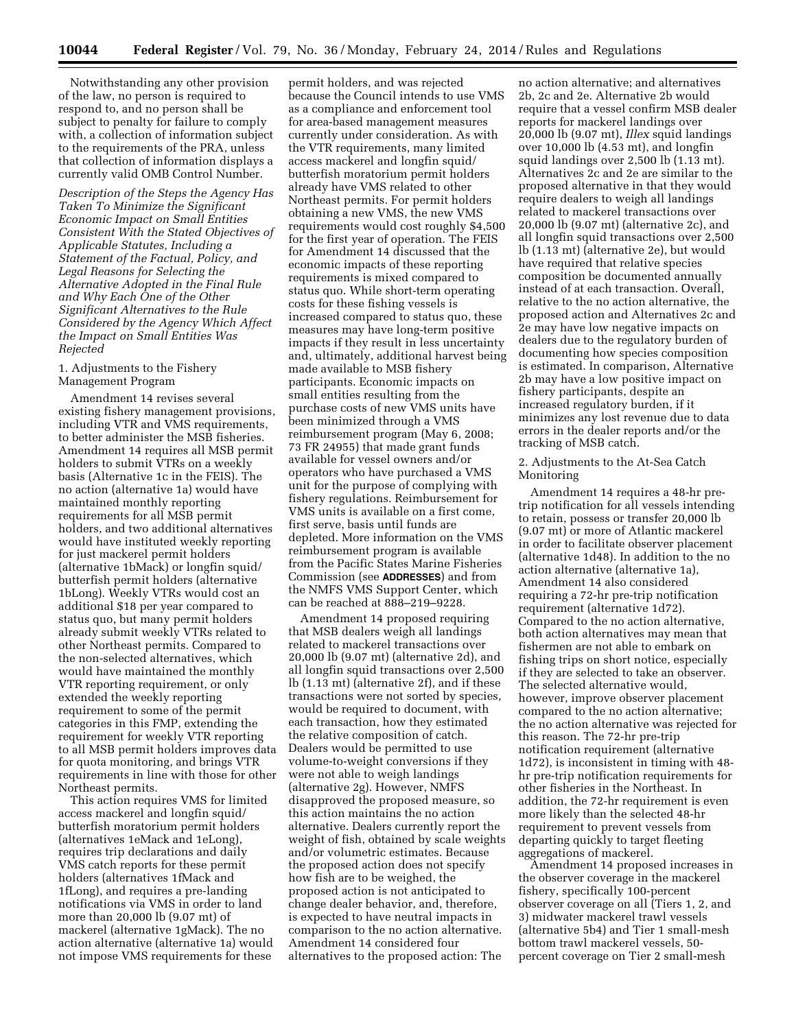Notwithstanding any other provision of the law, no person is required to respond to, and no person shall be subject to penalty for failure to comply with, a collection of information subject to the requirements of the PRA, unless that collection of information displays a currently valid OMB Control Number.

*Description of the Steps the Agency Has Taken To Minimize the Significant Economic Impact on Small Entities Consistent With the Stated Objectives of Applicable Statutes, Including a Statement of the Factual, Policy, and Legal Reasons for Selecting the Alternative Adopted in the Final Rule and Why Each One of the Other Significant Alternatives to the Rule Considered by the Agency Which Affect the Impact on Small Entities Was Rejected* 

#### 1. Adjustments to the Fishery Management Program

Amendment 14 revises several existing fishery management provisions, including VTR and VMS requirements, to better administer the MSB fisheries. Amendment 14 requires all MSB permit holders to submit VTRs on a weekly basis (Alternative 1c in the FEIS). The no action (alternative 1a) would have maintained monthly reporting requirements for all MSB permit holders, and two additional alternatives would have instituted weekly reporting for just mackerel permit holders (alternative 1bMack) or longfin squid/ butterfish permit holders (alternative 1bLong). Weekly VTRs would cost an additional \$18 per year compared to status quo, but many permit holders already submit weekly VTRs related to other Northeast permits. Compared to the non-selected alternatives, which would have maintained the monthly VTR reporting requirement, or only extended the weekly reporting requirement to some of the permit categories in this FMP, extending the requirement for weekly VTR reporting to all MSB permit holders improves data for quota monitoring, and brings VTR requirements in line with those for other Northeast permits.

This action requires VMS for limited access mackerel and longfin squid/ butterfish moratorium permit holders (alternatives 1eMack and 1eLong), requires trip declarations and daily VMS catch reports for these permit holders (alternatives 1fMack and 1fLong), and requires a pre-landing notifications via VMS in order to land more than 20,000 lb (9.07 mt) of mackerel (alternative 1gMack). The no action alternative (alternative 1a) would not impose VMS requirements for these

permit holders, and was rejected because the Council intends to use VMS as a compliance and enforcement tool for area-based management measures currently under consideration. As with the VTR requirements, many limited access mackerel and longfin squid/ butterfish moratorium permit holders already have VMS related to other Northeast permits. For permit holders obtaining a new VMS, the new VMS requirements would cost roughly \$4,500 for the first year of operation. The FEIS for Amendment 14 discussed that the economic impacts of these reporting requirements is mixed compared to status quo. While short-term operating costs for these fishing vessels is increased compared to status quo, these measures may have long-term positive impacts if they result in less uncertainty and, ultimately, additional harvest being made available to MSB fishery participants. Economic impacts on small entities resulting from the purchase costs of new VMS units have been minimized through a VMS reimbursement program (May 6, 2008; 73 FR 24955) that made grant funds available for vessel owners and/or operators who have purchased a VMS unit for the purpose of complying with fishery regulations. Reimbursement for VMS units is available on a first come, first serve, basis until funds are depleted. More information on the VMS reimbursement program is available from the Pacific States Marine Fisheries Commission (see **ADDRESSES**) and from the NMFS VMS Support Center, which can be reached at 888–219–9228.

Amendment 14 proposed requiring that MSB dealers weigh all landings related to mackerel transactions over 20,000 lb (9.07 mt) (alternative 2d), and all longfin squid transactions over 2,500 lb (1.13 mt) (alternative 2f), and if these transactions were not sorted by species, would be required to document, with each transaction, how they estimated the relative composition of catch. Dealers would be permitted to use volume-to-weight conversions if they were not able to weigh landings (alternative 2g). However, NMFS disapproved the proposed measure, so this action maintains the no action alternative. Dealers currently report the weight of fish, obtained by scale weights and/or volumetric estimates. Because the proposed action does not specify how fish are to be weighed, the proposed action is not anticipated to change dealer behavior, and, therefore, is expected to have neutral impacts in comparison to the no action alternative. Amendment 14 considered four alternatives to the proposed action: The

no action alternative; and alternatives 2b, 2c and 2e. Alternative 2b would require that a vessel confirm MSB dealer reports for mackerel landings over 20,000 lb (9.07 mt), *Illex* squid landings over 10,000 lb (4.53 mt), and longfin squid landings over 2,500 lb (1.13 mt). Alternatives 2c and 2e are similar to the proposed alternative in that they would require dealers to weigh all landings related to mackerel transactions over 20,000 lb (9.07 mt) (alternative 2c), and all longfin squid transactions over 2,500 lb (1.13 mt) (alternative 2e), but would have required that relative species composition be documented annually instead of at each transaction. Overall, relative to the no action alternative, the proposed action and Alternatives 2c and 2e may have low negative impacts on dealers due to the regulatory burden of documenting how species composition is estimated. In comparison, Alternative 2b may have a low positive impact on fishery participants, despite an increased regulatory burden, if it minimizes any lost revenue due to data errors in the dealer reports and/or the tracking of MSB catch.

2. Adjustments to the At-Sea Catch Monitoring

Amendment 14 requires a 48-hr pretrip notification for all vessels intending to retain, possess or transfer 20,000 lb (9.07 mt) or more of Atlantic mackerel in order to facilitate observer placement (alternative 1d48). In addition to the no action alternative (alternative 1a), Amendment 14 also considered requiring a 72-hr pre-trip notification requirement (alternative 1d72). Compared to the no action alternative, both action alternatives may mean that fishermen are not able to embark on fishing trips on short notice, especially if they are selected to take an observer. The selected alternative would, however, improve observer placement compared to the no action alternative; the no action alternative was rejected for this reason. The 72-hr pre-trip notification requirement (alternative 1d72), is inconsistent in timing with 48 hr pre-trip notification requirements for other fisheries in the Northeast. In addition, the 72-hr requirement is even more likely than the selected 48-hr requirement to prevent vessels from departing quickly to target fleeting aggregations of mackerel.

Amendment 14 proposed increases in the observer coverage in the mackerel fishery, specifically 100-percent observer coverage on all (Tiers 1, 2, and 3) midwater mackerel trawl vessels (alternative 5b4) and Tier 1 small-mesh bottom trawl mackerel vessels, 50 percent coverage on Tier 2 small-mesh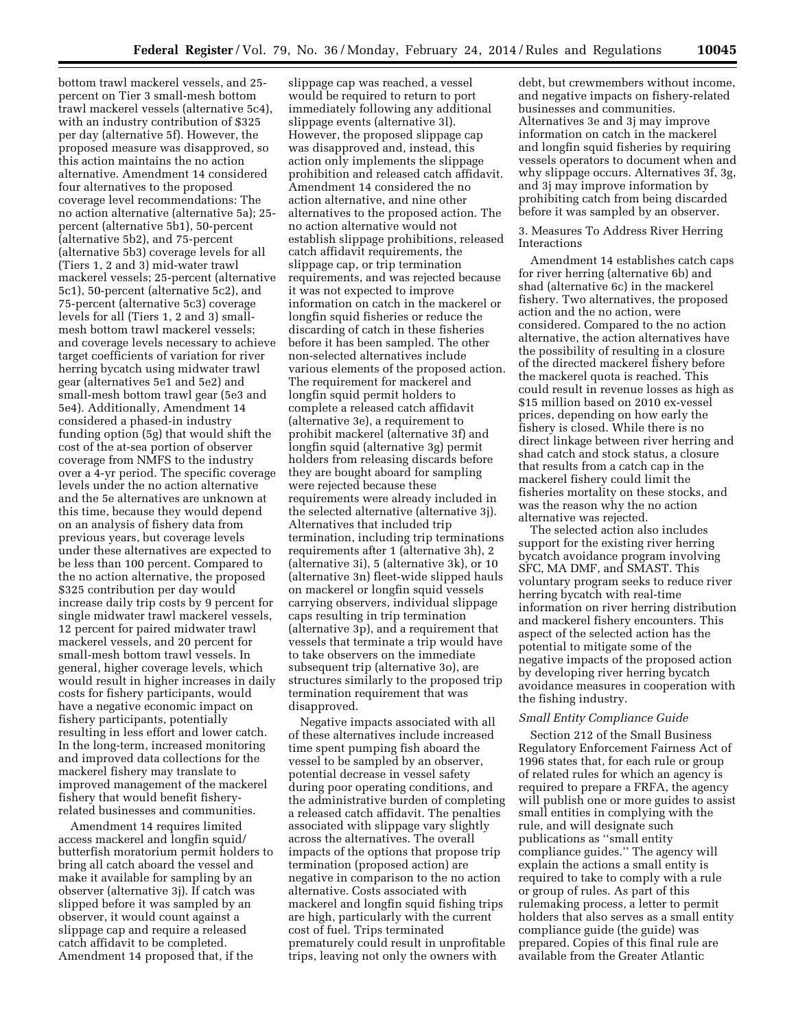bottom trawl mackerel vessels, and 25 percent on Tier 3 small-mesh bottom trawl mackerel vessels (alternative 5c4), with an industry contribution of \$325 per day (alternative 5f). However, the proposed measure was disapproved, so this action maintains the no action alternative. Amendment 14 considered four alternatives to the proposed coverage level recommendations: The no action alternative (alternative 5a); 25 percent (alternative 5b1), 50-percent (alternative 5b2), and 75-percent (alternative 5b3) coverage levels for all (Tiers 1, 2 and 3) mid-water trawl mackerel vessels; 25-percent (alternative 5c1), 50-percent (alternative 5c2), and 75-percent (alternative 5c3) coverage levels for all (Tiers 1, 2 and 3) smallmesh bottom trawl mackerel vessels; and coverage levels necessary to achieve target coefficients of variation for river herring bycatch using midwater trawl gear (alternatives 5e1 and 5e2) and small-mesh bottom trawl gear (5e3 and 5e4). Additionally, Amendment 14 considered a phased-in industry funding option (5g) that would shift the cost of the at-sea portion of observer coverage from NMFS to the industry over a 4-yr period. The specific coverage levels under the no action alternative and the 5e alternatives are unknown at this time, because they would depend on an analysis of fishery data from previous years, but coverage levels under these alternatives are expected to be less than 100 percent. Compared to the no action alternative, the proposed \$325 contribution per day would increase daily trip costs by 9 percent for single midwater trawl mackerel vessels, 12 percent for paired midwater trawl mackerel vessels, and 20 percent for small-mesh bottom trawl vessels. In general, higher coverage levels, which would result in higher increases in daily costs for fishery participants, would have a negative economic impact on fishery participants, potentially resulting in less effort and lower catch. In the long-term, increased monitoring and improved data collections for the mackerel fishery may translate to improved management of the mackerel fishery that would benefit fisheryrelated businesses and communities.

Amendment 14 requires limited access mackerel and longfin squid/ butterfish moratorium permit holders to bring all catch aboard the vessel and make it available for sampling by an observer (alternative 3j). If catch was slipped before it was sampled by an observer, it would count against a slippage cap and require a released catch affidavit to be completed. Amendment 14 proposed that, if the

slippage cap was reached, a vessel would be required to return to port immediately following any additional slippage events (alternative 3l). However, the proposed slippage cap was disapproved and, instead, this action only implements the slippage prohibition and released catch affidavit. Amendment 14 considered the no action alternative, and nine other alternatives to the proposed action. The no action alternative would not establish slippage prohibitions, released catch affidavit requirements, the slippage cap, or trip termination requirements, and was rejected because it was not expected to improve information on catch in the mackerel or longfin squid fisheries or reduce the discarding of catch in these fisheries before it has been sampled. The other non-selected alternatives include various elements of the proposed action. The requirement for mackerel and longfin squid permit holders to complete a released catch affidavit (alternative 3e), a requirement to prohibit mackerel (alternative 3f) and longfin squid (alternative 3g) permit holders from releasing discards before they are bought aboard for sampling were rejected because these requirements were already included in the selected alternative (alternative 3j). Alternatives that included trip termination, including trip terminations requirements after 1 (alternative 3h), 2 (alternative 3i), 5 (alternative 3k), or 10 (alternative 3n) fleet-wide slipped hauls on mackerel or longfin squid vessels carrying observers, individual slippage caps resulting in trip termination (alternative 3p), and a requirement that vessels that terminate a trip would have to take observers on the immediate subsequent trip (alternative 3o), are structures similarly to the proposed trip termination requirement that was disapproved.

Negative impacts associated with all of these alternatives include increased time spent pumping fish aboard the vessel to be sampled by an observer, potential decrease in vessel safety during poor operating conditions, and the administrative burden of completing a released catch affidavit. The penalties associated with slippage vary slightly across the alternatives. The overall impacts of the options that propose trip termination (proposed action) are negative in comparison to the no action alternative. Costs associated with mackerel and longfin squid fishing trips are high, particularly with the current cost of fuel. Trips terminated prematurely could result in unprofitable trips, leaving not only the owners with

debt, but crewmembers without income, and negative impacts on fishery-related businesses and communities. Alternatives 3e and 3j may improve information on catch in the mackerel and longfin squid fisheries by requiring vessels operators to document when and why slippage occurs. Alternatives 3f, 3g, and 3j may improve information by prohibiting catch from being discarded before it was sampled by an observer.

#### 3. Measures To Address River Herring Interactions

Amendment 14 establishes catch caps for river herring (alternative 6b) and shad (alternative 6c) in the mackerel fishery. Two alternatives, the proposed action and the no action, were considered. Compared to the no action alternative, the action alternatives have the possibility of resulting in a closure of the directed mackerel fishery before the mackerel quota is reached. This could result in revenue losses as high as \$15 million based on 2010 ex-vessel prices, depending on how early the fishery is closed. While there is no direct linkage between river herring and shad catch and stock status, a closure that results from a catch cap in the mackerel fishery could limit the fisheries mortality on these stocks, and was the reason why the no action alternative was rejected.

The selected action also includes support for the existing river herring bycatch avoidance program involving SFC, MA DMF, and SMAST. This voluntary program seeks to reduce river herring bycatch with real-time information on river herring distribution and mackerel fishery encounters. This aspect of the selected action has the potential to mitigate some of the negative impacts of the proposed action by developing river herring bycatch avoidance measures in cooperation with the fishing industry.

#### *Small Entity Compliance Guide*

Section 212 of the Small Business Regulatory Enforcement Fairness Act of 1996 states that, for each rule or group of related rules for which an agency is required to prepare a FRFA, the agency will publish one or more guides to assist small entities in complying with the rule, and will designate such publications as ''small entity compliance guides.'' The agency will explain the actions a small entity is required to take to comply with a rule or group of rules. As part of this rulemaking process, a letter to permit holders that also serves as a small entity compliance guide (the guide) was prepared. Copies of this final rule are available from the Greater Atlantic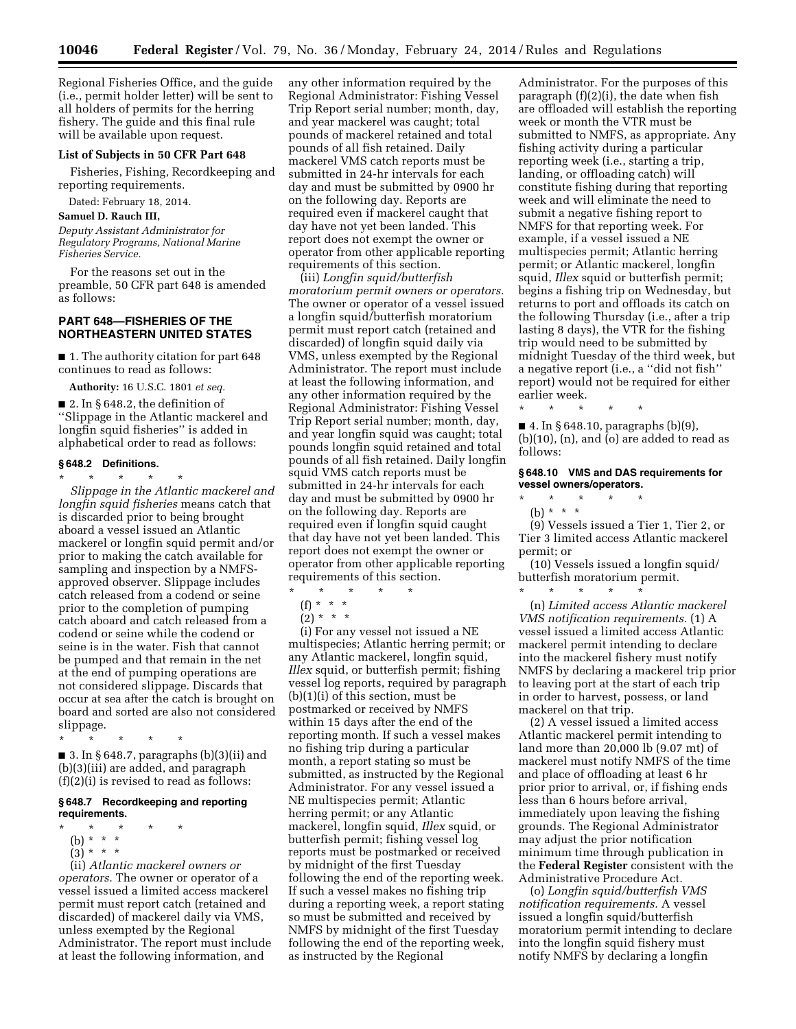Regional Fisheries Office, and the guide (i.e., permit holder letter) will be sent to all holders of permits for the herring fishery. The guide and this final rule will be available upon request.

# **List of Subjects in 50 CFR Part 648**

Fisheries, Fishing, Recordkeeping and reporting requirements.

Dated: February 18, 2014.

## **Samuel D. Rauch III,**

*Deputy Assistant Administrator for Regulatory Programs, National Marine Fisheries Service.* 

For the reasons set out in the preamble, 50 CFR part 648 is amended as follows:

### **PART 648—FISHERIES OF THE NORTHEASTERN UNITED STATES**

■ 1. The authority citation for part 648 continues to read as follows:

**Authority:** 16 U.S.C. 1801 *et seq.* 

■ 2. In § 648.2, the definition of ''Slippage in the Atlantic mackerel and longfin squid fisheries'' is added in alphabetical order to read as follows:

# **§ 648.2 Definitions.**

\* \* \* \* \*

*Slippage in the Atlantic mackerel and longfin squid fisheries* means catch that is discarded prior to being brought aboard a vessel issued an Atlantic mackerel or longfin squid permit and/or prior to making the catch available for sampling and inspection by a NMFSapproved observer. Slippage includes catch released from a codend or seine prior to the completion of pumping catch aboard and catch released from a codend or seine while the codend or seine is in the water. Fish that cannot be pumped and that remain in the net at the end of pumping operations are not considered slippage. Discards that occur at sea after the catch is brought on board and sorted are also not considered slippage.

\* \* \* \* \*

■ 3. In § 648.7, paragraphs (b)(3)(ii) and (b)(3)(iii) are added, and paragraph (f)(2)(i) is revised to read as follows:

### **§ 648.7 Recordkeeping and reporting requirements.**

- \* \* \* \* \*
- (b) \* \* \*
- $(3)^{*}$  \* \*

(ii) *Atlantic mackerel owners or operators.* The owner or operator of a vessel issued a limited access mackerel permit must report catch (retained and discarded) of mackerel daily via VMS, unless exempted by the Regional Administrator. The report must include at least the following information, and

any other information required by the Regional Administrator: Fishing Vessel Trip Report serial number; month, day, and year mackerel was caught; total pounds of mackerel retained and total pounds of all fish retained. Daily mackerel VMS catch reports must be submitted in 24-hr intervals for each day and must be submitted by 0900 hr on the following day. Reports are required even if mackerel caught that day have not yet been landed. This report does not exempt the owner or operator from other applicable reporting requirements of this section.

(iii) *Longfin squid/butterfish moratorium permit owners or operators.*  The owner or operator of a vessel issued a longfin squid/butterfish moratorium permit must report catch (retained and discarded) of longfin squid daily via VMS, unless exempted by the Regional Administrator. The report must include at least the following information, and any other information required by the Regional Administrator: Fishing Vessel Trip Report serial number; month, day, and year longfin squid was caught; total pounds longfin squid retained and total pounds of all fish retained. Daily longfin squid VMS catch reports must be submitted in 24-hr intervals for each day and must be submitted by 0900 hr on the following day. Reports are required even if longfin squid caught that day have not yet been landed. This report does not exempt the owner or operator from other applicable reporting requirements of this section.

 $\star$   $\star$   $\star$ 

- (f) \* \* \*
- $(2) * * * *$

(i) For any vessel not issued a NE multispecies; Atlantic herring permit; or any Atlantic mackerel, longfin squid, *Illex* squid, or butterfish permit; fishing vessel log reports, required by paragraph (b)(1)(i) of this section, must be postmarked or received by NMFS within 15 days after the end of the reporting month. If such a vessel makes no fishing trip during a particular month, a report stating so must be submitted, as instructed by the Regional Administrator. For any vessel issued a NE multispecies permit; Atlantic herring permit; or any Atlantic mackerel, longfin squid, *Illex* squid, or butterfish permit; fishing vessel log reports must be postmarked or received by midnight of the first Tuesday following the end of the reporting week. If such a vessel makes no fishing trip during a reporting week, a report stating so must be submitted and received by NMFS by midnight of the first Tuesday following the end of the reporting week, as instructed by the Regional

Administrator. For the purposes of this paragraph (f)(2)(i), the date when fish are offloaded will establish the reporting week or month the VTR must be submitted to NMFS, as appropriate. Any fishing activity during a particular reporting week (i.e., starting a trip, landing, or offloading catch) will constitute fishing during that reporting week and will eliminate the need to submit a negative fishing report to NMFS for that reporting week. For example, if a vessel issued a NE multispecies permit; Atlantic herring permit; or Atlantic mackerel, longfin squid, *Illex* squid or butterfish permit; begins a fishing trip on Wednesday, but returns to port and offloads its catch on the following Thursday (i.e., after a trip lasting 8 days), the VTR for the fishing trip would need to be submitted by midnight Tuesday of the third week, but a negative report (i.e., a ''did not fish'' report) would not be required for either earlier week.

■ 4. In § 648.10, paragraphs (b)(9),  $(b)(10)$ ,  $(n)$ , and  $(o)$  are added to read as follows:

\* \* \* \* \*

**§ 648.10 VMS and DAS requirements for vessel owners/operators.** 

 $\star$   $\star$   $\star$ (b) \* \* \*

(9) Vessels issued a Tier 1, Tier 2, or Tier 3 limited access Atlantic mackerel permit; or

(10) Vessels issued a longfin squid/ butterfish moratorium permit.

\* \* \* \* \* (n) *Limited access Atlantic mackerel VMS notification requirements.* (1) A vessel issued a limited access Atlantic mackerel permit intending to declare into the mackerel fishery must notify NMFS by declaring a mackerel trip prior to leaving port at the start of each trip in order to harvest, possess, or land mackerel on that trip.

(2) A vessel issued a limited access Atlantic mackerel permit intending to land more than 20,000 lb (9.07 mt) of mackerel must notify NMFS of the time and place of offloading at least 6 hr prior prior to arrival, or, if fishing ends less than 6 hours before arrival, immediately upon leaving the fishing grounds. The Regional Administrator may adjust the prior notification minimum time through publication in the **Federal Register** consistent with the Administrative Procedure Act.

(o) *Longfin squid/butterfish VMS notification requirements.* A vessel issued a longfin squid/butterfish moratorium permit intending to declare into the longfin squid fishery must notify NMFS by declaring a longfin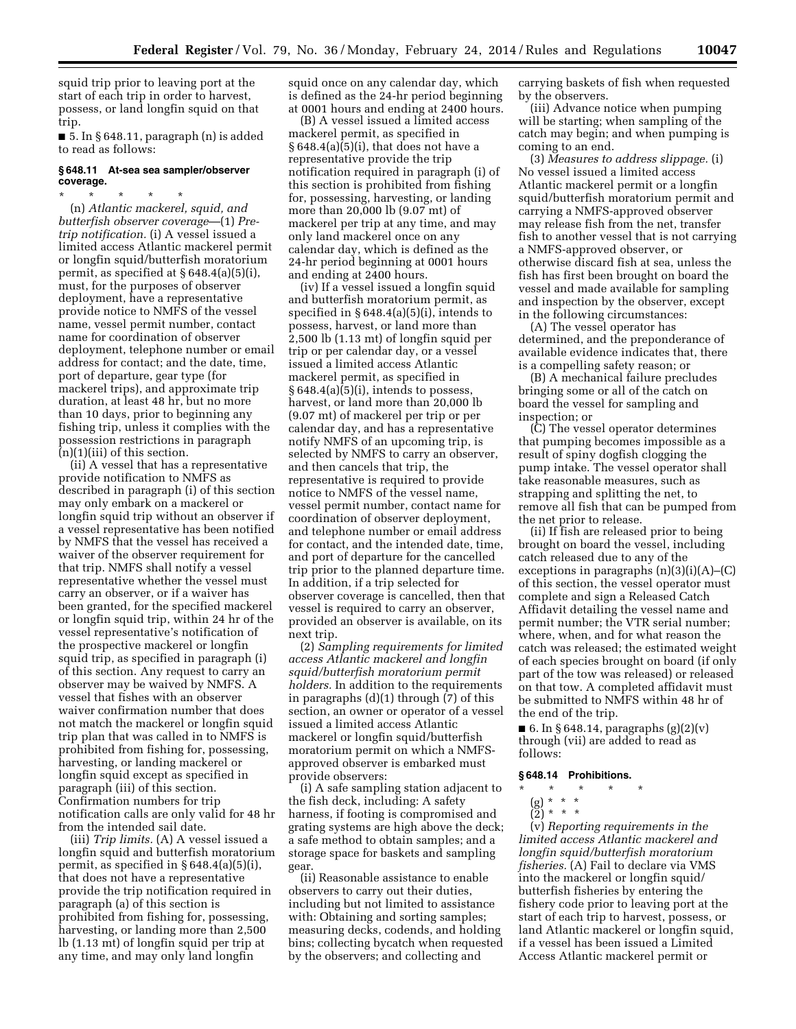squid trip prior to leaving port at the start of each trip in order to harvest, possess, or land longfin squid on that trip.

■ 5. In § 648.11, paragraph (n) is added to read as follows:

### **§ 648.11 At-sea sea sampler/observer coverage.**

\* \* \* \* \* (n) *Atlantic mackerel, squid, and butterfish observer coverage*—(1) *Pretrip notification.* (i) A vessel issued a limited access Atlantic mackerel permit or longfin squid/butterfish moratorium permit, as specified at § 648.4(a)(5)(i), must, for the purposes of observer deployment, have a representative provide notice to NMFS of the vessel name, vessel permit number, contact name for coordination of observer deployment, telephone number or email address for contact; and the date, time, port of departure, gear type (for mackerel trips), and approximate trip duration, at least 48 hr, but no more than 10 days, prior to beginning any fishing trip, unless it complies with the possession restrictions in paragraph (n)(1)(iii) of this section.

(ii) A vessel that has a representative provide notification to NMFS as described in paragraph (i) of this section may only embark on a mackerel or longfin squid trip without an observer if a vessel representative has been notified by NMFS that the vessel has received a waiver of the observer requirement for that trip. NMFS shall notify a vessel representative whether the vessel must carry an observer, or if a waiver has been granted, for the specified mackerel or longfin squid trip, within 24 hr of the vessel representative's notification of the prospective mackerel or longfin squid trip, as specified in paragraph (i) of this section. Any request to carry an observer may be waived by NMFS. A vessel that fishes with an observer waiver confirmation number that does not match the mackerel or longfin squid trip plan that was called in to NMFS is prohibited from fishing for, possessing, harvesting, or landing mackerel or longfin squid except as specified in paragraph (iii) of this section. Confirmation numbers for trip notification calls are only valid for 48 hr from the intended sail date.

(iii) *Trip limits.* (A) A vessel issued a longfin squid and butterfish moratorium permit, as specified in § 648.4(a)(5)(i), that does not have a representative provide the trip notification required in paragraph (a) of this section is prohibited from fishing for, possessing, harvesting, or landing more than 2,500 lb (1.13 mt) of longfin squid per trip at any time, and may only land longfin

squid once on any calendar day, which is defined as the 24-hr period beginning at 0001 hours and ending at 2400 hours.

(B) A vessel issued a limited access mackerel permit, as specified in § 648.4(a)(5)(i), that does not have a representative provide the trip notification required in paragraph (i) of this section is prohibited from fishing for, possessing, harvesting, or landing more than 20,000 lb (9.07 mt) of mackerel per trip at any time, and may only land mackerel once on any calendar day, which is defined as the 24-hr period beginning at 0001 hours and ending at 2400 hours.

(iv) If a vessel issued a longfin squid and butterfish moratorium permit, as specified in  $§ 648.4(a)(5)(i)$ , intends to possess, harvest, or land more than 2,500 lb (1.13 mt) of longfin squid per trip or per calendar day, or a vessel issued a limited access Atlantic mackerel permit, as specified in § 648.4(a)(5)(i), intends to possess, harvest, or land more than 20,000 lb (9.07 mt) of mackerel per trip or per calendar day, and has a representative notify NMFS of an upcoming trip, is selected by NMFS to carry an observer, and then cancels that trip, the representative is required to provide notice to NMFS of the vessel name, vessel permit number, contact name for coordination of observer deployment, and telephone number or email address for contact, and the intended date, time, and port of departure for the cancelled trip prior to the planned departure time. In addition, if a trip selected for observer coverage is cancelled, then that vessel is required to carry an observer, provided an observer is available, on its next trip.

(2) *Sampling requirements for limited access Atlantic mackerel and longfin squid/butterfish moratorium permit holders.* In addition to the requirements in paragraphs (d)(1) through (7) of this section, an owner or operator of a vessel issued a limited access Atlantic mackerel or longfin squid/butterfish moratorium permit on which a NMFSapproved observer is embarked must provide observers:

(i) A safe sampling station adjacent to the fish deck, including: A safety harness, if footing is compromised and grating systems are high above the deck; a safe method to obtain samples; and a storage space for baskets and sampling gear.

(ii) Reasonable assistance to enable observers to carry out their duties, including but not limited to assistance with: Obtaining and sorting samples; measuring decks, codends, and holding bins; collecting bycatch when requested by the observers; and collecting and

carrying baskets of fish when requested by the observers.

(iii) Advance notice when pumping will be starting; when sampling of the catch may begin; and when pumping is coming to an end.

(3) *Measures to address slippage.* (i) No vessel issued a limited access Atlantic mackerel permit or a longfin squid/butterfish moratorium permit and carrying a NMFS-approved observer may release fish from the net, transfer fish to another vessel that is not carrying a NMFS-approved observer, or otherwise discard fish at sea, unless the fish has first been brought on board the vessel and made available for sampling and inspection by the observer, except in the following circumstances:

(A) The vessel operator has determined, and the preponderance of available evidence indicates that, there is a compelling safety reason; or

(B) A mechanical failure precludes bringing some or all of the catch on board the vessel for sampling and inspection; or

(C) The vessel operator determines that pumping becomes impossible as a result of spiny dogfish clogging the pump intake. The vessel operator shall take reasonable measures, such as strapping and splitting the net, to remove all fish that can be pumped from the net prior to release.

(ii) If fish are released prior to being brought on board the vessel, including catch released due to any of the exceptions in paragraphs (n)(3)(i)(A)–(C) of this section, the vessel operator must complete and sign a Released Catch Affidavit detailing the vessel name and permit number; the VTR serial number; where, when, and for what reason the catch was released; the estimated weight of each species brought on board (if only part of the tow was released) or released on that tow. A completed affidavit must be submitted to NMFS within 48 hr of the end of the trip.

■ 6. In § 648.14, paragraphs  $(g)(2)(v)$ through (vii) are added to read as follows:

#### **§ 648.14 Prohibitions.**

# \* \* \* \* \*

- (g) \* \* \*
- $(2) * * * *$

(v) *Reporting requirements in the limited access Atlantic mackerel and longfin squid/butterfish moratorium fisheries.* (A) Fail to declare via VMS into the mackerel or longfin squid/ butterfish fisheries by entering the fishery code prior to leaving port at the start of each trip to harvest, possess, or land Atlantic mackerel or longfin squid, if a vessel has been issued a Limited Access Atlantic mackerel permit or